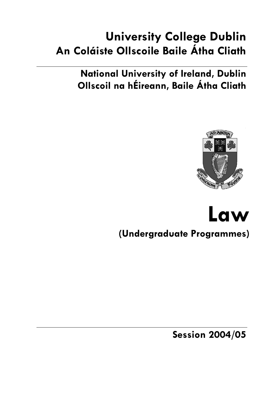# **University College Dublin An Coláiste Ollscoile Baile Átha Cliath**

**National University of Ireland, Dublin Ollscoil na hÉireann, Baile Átha Cliath** 



# **Law (Undergraduate Programmes)**

**Session 2004/05**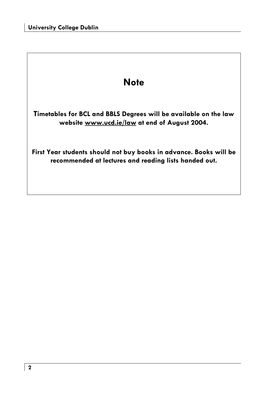## **Note**

**Timetables for BCL and BBLS Degrees will be available on the law website www.ucd.ie/law at end of August 2004.**

**First Year students should not buy books in advance. Books will be recommended at lectures and reading lists handed out.**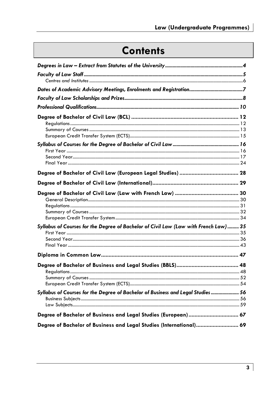# **Contents**

| Syllabus of Courses for the Degree of Bachelor of Civil Law (Law with French Law) 35 |  |
|--------------------------------------------------------------------------------------|--|
|                                                                                      |  |
|                                                                                      |  |
| Syllabus of Courses for the Dearee of Bachelor of Business and Leaal Studies 56      |  |
| Degree of Bachelor of Business and Legal Studies (European) 67                       |  |
| Degree of Bachelor of Business and Legal Studies (International) 69                  |  |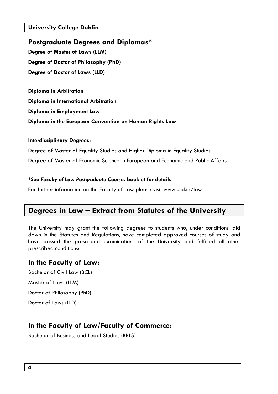## **Postgraduate Degrees and Diplomas\***

**Degree of Master of Laws (LLM) Degree of Doctor of Philosophy (PhD) Degree of Doctor of Laws (LLD)** 

**Diploma in Arbitration** 

**Diploma in International Arbitration** 

**Diploma in Employment Law** 

**Diploma in the European Convention on Human Rights Law** 

### **Interdisciplinary Degrees:**

Degree of Master of Equality Studies and Higher Diploma in Equality Studies Degree of Master of Economic Science in European and Economic and Public Affairs

### **\*See** *Faculty of Law Postgraduate Courses* **booklet for details**

For further information on the Faculty of Law please visit www.ucd.ie/law

## **Degrees in Law – Extract from Statutes of the University**

The University may grant the following degrees to students who, under conditions laid down in the Statutes and Regulations, have completed approved courses of study and have passed the prescribed examinations of the University and fulfilled all other prescribed conditions:

### **In the Faculty of Law:**

Bachelor of Civil Law (BCL) Master of Laws (LLM) Doctor of Philosophy (PhD) Doctor of Laws (LLD)

## **In the Faculty of Law/Faculty of Commerce:**

Bachelor of Business and Legal Studies (BBLS)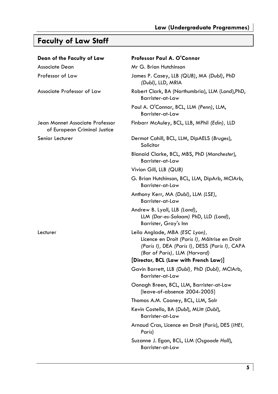# **Faculty of Law Staff**

| Dean of the Faculty of Law                                      | Professor Paul A. O'Connor                                                                                                                                         |
|-----------------------------------------------------------------|--------------------------------------------------------------------------------------------------------------------------------------------------------------------|
| Associate Dean                                                  | Mr G. Brian Hutchinson                                                                                                                                             |
| Professor of Law                                                | James P. Casey, LLB (QUB), MA (Dubl), PhD<br>(Dubl), LLD, MRIA                                                                                                     |
| Associate Professor of Law                                      | Robert Clark, BA (Northumbria), LLM (Lond), PhD,<br>Barrister-at-Law                                                                                               |
|                                                                 | Paul A. O'Connor, BCL, LLM (Penn), LLM,<br>Barrister-at-Law                                                                                                        |
| Jean Monnet Associate Professor<br>of European Criminal Justice | Finbarr McAuley, BCL, LLB, MPhil (Edin), LLD                                                                                                                       |
| Senior Lecturer                                                 | Dermot Cahill, BCL, LLM, DipAELS (Bruges),<br>Solicitor                                                                                                            |
|                                                                 | Blanaid Clarke, BCL, MBS, PhD (Manchester),<br>Barrister-at-Law                                                                                                    |
|                                                                 | Vivion Gill, LLB (QUB)                                                                                                                                             |
|                                                                 | G. Brian Hutchinson, BCL, LLM, DipArb, MCIArb,<br>Barrister-at-Law                                                                                                 |
|                                                                 | Anthony Kerr, MA (Dubl), LLM (LSE),<br>Barrister-at-Law                                                                                                            |
|                                                                 | Andrew B. Lyall, LLB (Lond),<br>LLM (Dar-es-Salaam) PhD, LLD (Lond),<br>Barrister, Gray's Inn                                                                      |
| Lecturer                                                        | Leila Anglade, MBA (ESC Lyon),<br>Licence en Droit (Paris I), Mâitrise en Droit<br>(Paris I), DEA (Paris I), DESS (Paris I), CAPA<br>(Bar of Paris), LLM (Harvard) |
|                                                                 | [Director, BCL (Law with French Law)]                                                                                                                              |
|                                                                 | Gavin Barrett, LLB (Dubl), PhD (Dubl), MCIArb,<br>Barrister-at-Law                                                                                                 |
|                                                                 | Oonagh Breen, BCL, LLM, Barrister-at-Law<br>[leave-of-absence 2004-2005]                                                                                           |
|                                                                 | Thomas A.M. Cooney, BCL, LLM, Solr                                                                                                                                 |
|                                                                 | Kevin Costello, BA (Dubl), MLitt (Dubl),<br><b>Barrister-at-Law</b>                                                                                                |
|                                                                 | Arnaud Cras, Licence en Droit (Paris), DES (IHEI,<br>Paris)                                                                                                        |
|                                                                 | Suzanne J. Egan, BCL, LLM (Osgoode Hall),<br>Barrister-at-Law                                                                                                      |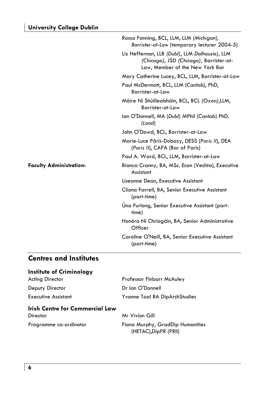|                                | Rossa Fanning, BCL, LLM, LLM (Michigan),<br>Barrister-at-Law (temporary lecturer 2004-5)                                     |
|--------------------------------|------------------------------------------------------------------------------------------------------------------------------|
|                                | Liz Heffernan, LLB (Dubl), LLM Dalhousie), LLM<br>(Chicago), JSD (Chicago), Barrister-at-<br>Law, Member of the New York Bar |
|                                | Mary Catherine Lucey, BCL, LLM, Barrister-at-Law                                                                             |
|                                | Paul McDermott, BCL, LLM (Cantab), PhD,<br>Barrister-at-Law                                                                  |
|                                | Máire Ní Shúilleabháin, BCL, BCL (Oxon), LLM,<br>Barrister-at-Law                                                            |
|                                | Ian O'Donnell, MA (Dubl) MPhil (Cantab) PhD.<br>(London)                                                                     |
|                                | John O'Dowd, BCL, Barrister-at-Law                                                                                           |
|                                | Marie-Luce Pâris-Dobozy, DESS (Paris II), DEA<br>(Paris II), CAPA (Bar of Paris)                                             |
|                                | Paul A. Ward, BCL, LLM, Barrister-at-Law                                                                                     |
| <b>Faculty Administration:</b> | Bianca Cranny, BA, MSc. Econ (Vechta), Executive<br>Assistant                                                                |
|                                | Liseanne Dean, Executive Assistant                                                                                           |
|                                | Clíona Farrell, BA, Senior Executive Assistant<br>(part-time)                                                                |
|                                | Una Furlong, Senior Executive Assistant (part-<br>time)                                                                      |
|                                | Honóra Ní Chríogáin, BA, Senior Administrative<br>Officer                                                                    |
|                                | Caroline O'Neill, BA, Senior Executive Assistant<br>(part-time)                                                              |
|                                |                                                                                                                              |

## **Centres and Institutes**

| Institute of Criminology               |                                                           |
|----------------------------------------|-----------------------------------------------------------|
| <b>Acting Director</b>                 | <b>Professor Finbarr McAuley</b>                          |
| Deputy Director                        | Dr Ian O'Donnell                                          |
| <b>Executive Assistant</b>             | Yvonne Toal BA DipArchStudies                             |
| <b>Irish Centre for Commercial Law</b> |                                                           |
| Director                               | Mr Vivion Gill                                            |
| Programme co-ordinator                 | Fiona Murphy, GradDip Humanities<br>(HETAC), DipPR (PRII) |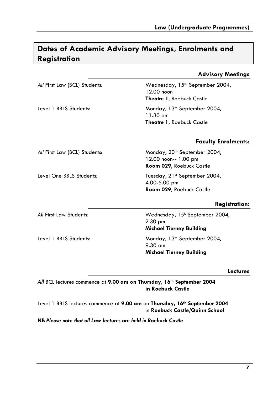## **Dates of Academic Advisory Meetings, Enrolments and Registration**

### **Advisory Meetings**

All First Law (BCL) Students: Wednesday, 15<sup>th</sup> September 2004, 12.00 noon **Theatre 1**, Roebuck Castle

Level 1 BBLS Students: Monday, 13<sup>th</sup> September 2004, 11.30 am **Theatre 1,** Roebuck Castle

### **Faculty Enrolments:**

All First Law (BCL) Students: Monday, 20<sup>th</sup> September 2004,

Level One BBLS Students: Tuesday, 21st September 2004,

Level 1 BBLS Students: Monday, 13<sup>th</sup> September 2004,

12.00 noon-- 1.00 pm **Room 029**, Roebuck Castle

4.00-5.00 pm **Room 029**, Roebuck Castle

### **Registration:**

*All* First Law Students: Wednesday, 15h September 2004, 2.30 pm **Michael Tierney Building** 

9.30 am **Michael Tierney Building**

### **Lectures**

*All* BCL lectures commence at **9.00 am on Thursday, 16th September 2004 in Roebuck Castle**

Level 1 BBLS lectures commence at **9.00 am** on **Thursday, 16th September 2004**  in **Roebuck Castle/Quinn School**

**NB** *Please note that all Law lectures are held in Roebuck Castle*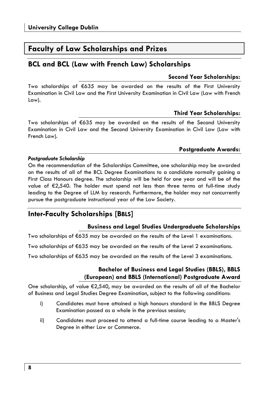## **Faculty of Law Scholarships and Prizes**

### **BCL and BCL (Law with French Law) Scholarships**

### **Second Year Scholarships:**

Two scholarships of €635 may be awarded on the results of the First University Examination in Civil Law and the First University Examination in Civil Law (Law with French Law).

### **Third Year Scholarships:**

Two scholarships of €635 may be awarded on the results of the Second University Examination in Civil Law and the Second University Examination in Civil Law (Law with French Law).

### **Postgraduate Awards:**

### *Postgraduate Scholarship*

On the recommendation of the Scholarships Committee, one scholarship may be awarded on the results of all of the BCL Degree Examinations to a candidate normally gaining a First Class Honours degree. The scholarship will be held for one year and will be of the value of €2,540. The holder must spend not less than three terms at full-time study leading to the Degree of LLM by research. Furthermore, the holder may not concurrently pursue the postgraduate instructional year of the Law Society.

## **Inter-Faculty Scholarships [BBLS]**

### **Business and Legal Studies Undergraduate Scholarships**

Two scholarships of €635 may be awarded on the results of the Level 1 examinations.

Two scholarships of €635 may be awarded on the results of the Level 2 examinations.

Two scholarships of €635 may be awarded on the results of the Level 3 examinations.

### **Bachelor of Business and Legal Studies (BBLS), BBLS (European) and BBLS (International) Postgraduate Award**

One scholarship, of value  $\epsilon$ 2,540, may be awarded on the results of all of the Bachelor of Business and Legal Studies Degree Examination, subject to the following conditions:

- i) Candidates must have attained a high honours standard in the BBLS Degree Examination passed as a whole in the previous session;
- ii) Candidates must proceed to attend a full-time course leading to a Master's Degree in either Law or Commerce.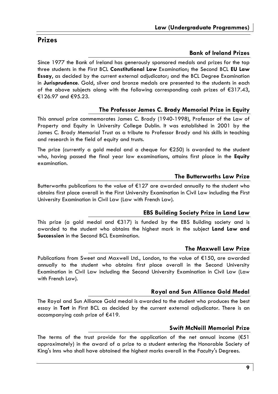## **Prizes**

### **Bank of Ireland Prizes**

Since 1977 the Bank of Ireland has generously sponsored medals and prizes for the top three students in the First BCL **Constitutional Law** Examination; the Second BCL **EU Law Essay**, as decided by the current external adjudicator; and the BCL Degree Examination in **Jurisprudence**. Gold, silver and bronze medals are presented to the students in each of the above subjects along with the following corresponding cash prizes of  $\epsilon$ 317.43, €126.97 and €95.23.

### **The Professor James C. Brady Memorial Prize in Equity**

This annual prize commemorates James C. Brady (1940-1998), Professor of the Law of Property and Equity in University College Dublin. It was established in 2001 by the James C. Brady Memorial Trust as a tribute to Professor Brady and his skills in teaching and research in the field of equity and trusts.

The prize (currently a gold medal and a cheque for  $E$ 250) is awarded to the student who, having passed the final year law examinations, attains first place in the **Equity** examination.

### **The Butterworths Law Prize**

Butterworths publications to the value of €127 are awarded annually to the student who obtains first place overall in the First University Examination in Civil Law including the First University Examination in Civil Law (Law with French Law).

### **EBS Building Society Prize in Land Law**

This prize (a gold medal and  $6317$ ) is funded by the EBS Building society and is awarded to the student who obtains the highest mark in the subject **Land Law and Succession** in the Second BCL Examination.

### **The Maxwell Law Prize**

Publications from Sweet and Maxwell Ltd., London, to the value of €150, are awarded annually to the student who obtains first place overall in the Second University Examination in Civil Law including the Second University Examination in Civil Law (Law with French Law).

### **Royal and Sun Alliance Gold Medal**

The Royal and Sun Alliance Gold medal is awarded to the student who produces the best essay in **Tort** in First BCL as decided by the current external adjudicator. There is an accompanying cash prize of €419.

### **Swift McNeill Memorial Prize**

The terms of the trust provide for the application of the net annual income  $(E51)$ approximately) in the award of a prize to a student entering the Honorable Society of King's Inns who shall have obtained the highest marks overall in the Faculty's Degrees.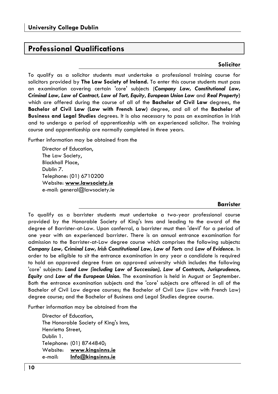## **Professional Qualifications**

### **Solicitor**

To qualify as a solicitor students must undertake a professional training course for solicitors provided by **The Law Society of Ireland.** To enter this course students must pass an examination covering certain 'core' subjects (*Company Law, Constitutional Law, Criminal Law, Law of Contract, Law of Tort, Equity***,** *European Union Law* and *Real Property***)** which are offered during the course of all of the **Bachelor of Civil Law** degrees, the **Bachelor of Civil Law (Law with French Law)** degree, and all of the **Bachelor of Business and Legal Studies** degrees. It is also necessary to pass an examination in Irish and to undergo a period of apprenticeship with an experienced solicitor. The training course and apprenticeship are normally completed in three years.

Further information may be obtained from the

Director of Education, The Law Society, Blackhall Place, Dublin 7. Telephone: (01) 6710200 Website: **www.lawsociety.ie** e-mail: general@lawsociety.ie

### **Barrister**

To qualify as a barrister students must undertake a two-year professional course provided by the Honorable Society of King's Inns and leading to the award of the degree of Barrister-at-Law. Upon conferral, a barrister must then 'devil' for a period of one year with an experienced barrister. There is an annual entrance examination for admission to the Barrister-at-Law degree course which comprises the following subjects**:** *Company Law, Criminal Law, Irish Constitutional Law, Law of Torts* and *Law of Evidence.* In order to be eligible to sit the entrance examination in any year a candidate is required to hold an approved degree from an approved university which includes the following 'core' subjects: *Land Law (including Law of Succession), Law of Contracts, Jurisprudence, Equity* and *Law of the European Union*. The examination is held in August or September. Both the entrance examination subjects and the 'core' subjects are offered in all of the Bachelor of Civil Law degree courses; the Bachelor of Civil Law (Law with French Law) degree course; and the Bachelor of Business and Legal Studies degree course.

Further information may be obtained from the

Director of Education, The Honorable Society of King's Inns, Henrietta Street, Dublin 1. Telephone: (01) 8744840; Website: **www.kingsinns.ie** e-mail: **Info@kingsinns.ie**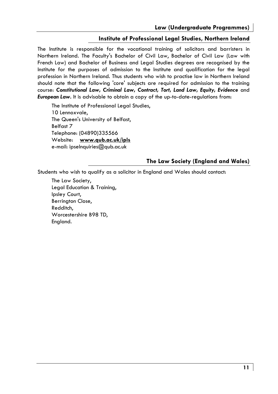### **Institute of Professional Legal Studies, Northern Ireland**

The Institute is responsible for the vocational training of solicitors and barristers in Northern Ireland. The Faculty's Bachelor of Civil Law, Bachelor of Civil Law (Law with French Law) and Bachelor of Business and Legal Studies degrees are recognised by the Institute for the purposes of admission to the Institute and qualification for the legal profession in Northern Ireland. Thus students who wish to practise law in Northern Ireland should note that the following 'core' subjects are required for admission to the training course: *Constitutional Law, Criminal Law, Contract, Tort, Land Law, Equity, Evidence* and *European Law.* It is advisable to obtain a copy of the up-to-date-regulations from:

The Institute of Professional Legal Studies, 10 Lennoxvale, The Queen's University of Belfast, Belfast 7 Telephone: (04890)335566 Website: **www.qub.ac.uk/ipls** e-mail: ipselnquiries@qub.ac.uk

### **The Law Society (England and Wales)**

Students who wish to qualify as a solicitor in England and Wales should contact:

The Law Society, Legal Education & Training, Ipsley Court, Berrington Close, Redditch, Worcestershire B98 TD, England.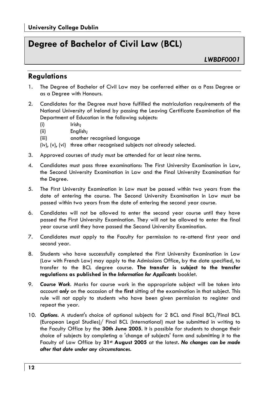## **Degree of Bachelor of Civil Law (BCL)**

## **Regulations**

- 1. The Degree of Bachelor of Civil Law may be conferred either as a Pass Degree or as a Degree with Honours.
- 2. Candidates for the Degree must have fulfilled the matriculation requirements of the National University of Ireland by passing the Leaving Certificate Examination of the Department of Education in the following subjects:
	- (i) Irish;
	- (ii) English;
	- (iii) another recognised language
	- (iv), (v), (vi) three other recognised subjects not already selected.
- 3. Approved courses of study must be attended for at least nine terms.
- 4. Candidates must pass three examinations: The First University Examination in Law, the Second University Examination in Law and the Final University Examination for the Degree.
- 5. The First University Examination in Law must be passed within two years from the date of entering the course. The Second University Examination in Law must be passed within two years from the date of entering the second year course.
- 6. Candidates will not be allowed to enter the second year course until they have passed the First University Examination. They will not be allowed to enter the final year course until they have passed the Second University Examination.
- 7. Candidates must apply to the Faculty for permission to re-attend first year and second year.
- 8. Students who have successfully completed the First University Examination in Law (Law with French Law) may apply to the Admissions Office, by the date specified, to transfer to the BCL degree course. **The transfer is subject to the transfer regulations as published in the** *Information for Applicants* booklet.
- 9. *Course Work.* Marks for course work in the appropriate subject will be taken into account *only* on the occasion of the **first** sitting of the examination in that subject. This rule will not apply to students who have been given permission to register and repeat the year.
- 10. *Options.* A student's choice of optional subjects for 2 BCL and Final BCL/Final BCL (European Legal Studies)/ Final BCL (International) must be submitted in writing to the Faculty Office by the **30th June 2005**. It is possible for students to change their choice of subjects by completing a 'change of subjects' form and submitting it to the Faculty of Law Office by **31st August 2005** at the latest**.** *No changes can be made after that date under any circumstances.*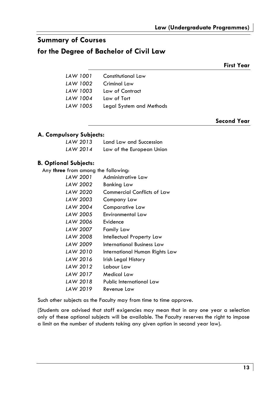## **Summary of Courses**

## **for the Degree of Bachelor of Civil Law**

**First Year** 

| LAW 1001 | Constitutional Law       |
|----------|--------------------------|
| LAW 1002 | Criminal Law             |
| LAW 1003 | Law of Contract          |
| LAW 1004 | Law of Tort              |
| LAW 1005 | Legal System and Methods |
|          |                          |

**Second Year** 

### **A. Compulsory Subjects:**

| LAW 2013 | Land Law and Succession   |
|----------|---------------------------|
| LAW 2014 | Law of the European Union |

### **B. Optional Subjects:**

Any **three** from among the following:

| LAW 2001 | Administrative Law             |
|----------|--------------------------------|
| LAW 2002 | Banking Law                    |
| LAW 2020 | Commercial Conflicts of Law    |
| LAW 2003 | Company Law                    |
| LAW 2004 | Comparative Law                |
| LAW 2005 | Environmental Law              |
| LAW 2006 | Evidence                       |
| LAW 2007 | Family Law                     |
| LAW 2008 | Intellectual Property Law      |
| LAW 2009 | International Business Law     |
| LAW 2010 | International Human Rights Law |
| LAW 2016 | Irish Legal History            |
| LAW 2012 | Labour Law                     |
| LAW 2017 | Medical Law                    |
| LAW 2018 | Public International Law       |
| LAW 2019 | Revenue Law                    |

Such other subjects as the Faculty may from time to time approve.

(Students are advised that staff exigencies may mean that in any one year a selection only of these optional subjects will be available. The Faculty reserves the right to impose a limit on the number of students taking any given option in second year law).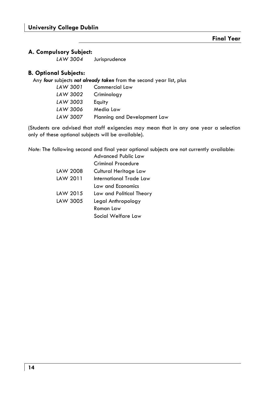### **A. Compulsory Subject:**

 *LAW 3004* Jurisprudence

### **B. Optional Subjects:**

Any *four* subjects *not already taken* from the second year list, plus

| LAW 3001 | Commercial Law               |
|----------|------------------------------|
| LAW 3002 | Criminology                  |
| LAW 3003 | Equity                       |
| LAW 3006 | Media Law                    |
| LAW 3007 | Planning and Development Law |

(Students are advised that staff exigencies may mean that in any one year a selection only of these optional subjects will be available).

*Note:* The following second and final year optional subjects are not currently available:

|          | Advanced Public Law      |
|----------|--------------------------|
|          | Criminal Procedure       |
| LAW 2008 | Cultural Heritage Law    |
| LAW 2011 | International Trade Law  |
|          | Law and Economics        |
| LAW 2015 | Law and Political Theory |
| LAW 3005 | Legal Anthropology       |
|          | Roman Law                |
|          | Social Welfare Law       |
|          |                          |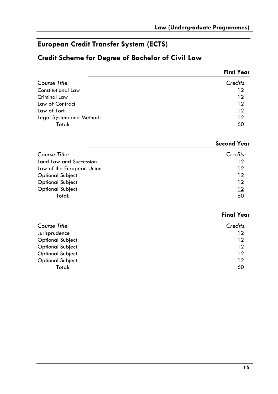## **European Credit Transfer System (ECTS)**

## **Credit Scheme for Degree of Bachelor of Civil Law**

|                           | <b>First Year</b> |
|---------------------------|-------------------|
| Course Title:             | Credits:          |
| <b>Constitutional Law</b> | 12                |
| Criminal Law              | 12                |
| Law of Contract           | 12                |
| Law of Tort               | 12                |
| Legal System and Methods  | $\frac{12}{2}$    |
| Total:                    | 60                |

|                           | <b>Second Year</b> |
|---------------------------|--------------------|
| Course Title:             | Credits:           |
| Land Law and Succession   | 12                 |
| Law of the European Union | 12                 |
| <b>Optional Subject</b>   | 12                 |
| <b>Optional Subject</b>   | 12                 |
| <b>Optional Subject</b>   | 12                 |
| Total:                    | 60                 |

|                         | <b>Final Year</b> |
|-------------------------|-------------------|
| Course Title:           | Credits:          |
| Jurisprudence           | 12                |
| <b>Optional Subject</b> | 12                |
| <b>Optional Subject</b> | 12                |
| <b>Optional Subject</b> | 12                |
| <b>Optional Subject</b> | 12                |
| Total:                  | 60                |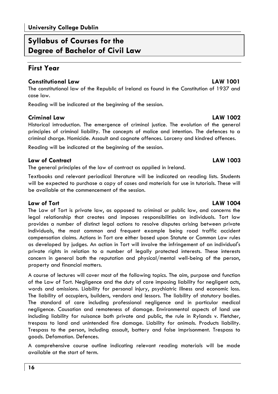## **Syllabus of Courses for the Degree of Bachelor of Civil Law**

## **First Year**

### **Constitutional Law LAW 1001**

The constitutional law of the Republic of Ireland as found in the Constitution of 1937 and case law.

Reading will be indicated at the beginning of the session.

### **Criminal Law LAW 1002**

Historical introduction. The emergence of criminal justice. The evolution of the general principles of criminal liability. The concepts of malice and intention. The defences to a criminal charge. Homicide. Assault and cognate offences. Larceny and kindred offences.

Reading will be indicated at the beginning of the session.

### **Law of Contract LAW 1003**

The general principles of the law of contract as applied in Ireland.

Textbooks and relevant periodical literature will be indicated on reading lists. Students will be expected to purchase a copy of cases and materials for use in tutorials. These will be available at the commencement of the session.

### **Law of Tort LAW 1004**

The Law of Tort is private law, as opposed to criminal or public law, and concerns the legal relationship that creates and imposes responsibilities on individuals. Tort law provides a number of distinct legal actions to resolve disputes arising between private individuals, the most common and frequent example being road traffic accident compensation claims. Actions in Tort are either based upon Statute or Common Law rules as developed by judges. An action in Tort will involve the infringement of an individual's private rights in relation to a number of legally protected interests. These interests concern in general both the reputation and physical/mental well-being of the person, property and financial matters.

A course of lectures will cover most of the following topics. The aim, purpose and function of the Law of Tort. Negligence and the duty of care imposing liability for negligent acts, words and omissions. Liability for personal injury, psychiatric illness and economic loss. The liability of occupiers, builders, vendors and lessors. The liability of statutory bodies. The standard of care including professional negligence and in particular medical negligence. Causation and remoteness of damage. Environmental aspects of land use including liability for nuisance both private and public, the rule in Rylands v. Fletcher, trespass to land and unintended fire damage. Liability for animals. Products liability. Trespass to the person, including assault, battery and false imprisonment. Trespass to goods. Defamation. Defences.

A comprehensive course outline indicating relevant reading materials will be made available at the start of term.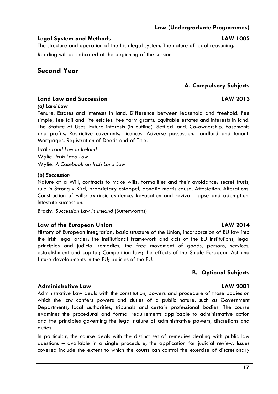### **Legal System and Methods LAW 1005**

The structure and operation of the Irish legal system. The nature of legal reasoning. Reading will be indicated at the beginning of the session.

## **Second Year**

# **A. Compulsory Subjects**

### **Land Law and Succession LAW 2013**

### *(a) Land Law*

Tenure. Estates and interests in land. Difference between leasehold and freehold. Fee simple, fee tail and life estates. Fee farm grants. Equitable estates and interests in land. The Statute of Uses. Future interests (in outline). Settled land. Co-ownership. Easements and profits. Restrictive covenants. Licences. Adverse possession. Landlord and tenant. Mortgages. Registration of Deeds and of Title.

Lyall*: Land Law in Ireland*  Wylie*: Irish Land Law*  Wylie*: A Casebook on Irish Land Law* 

### **(b)** *Succession*

Nature of a Will, contracts to make wills; formalities and their avoidance; secret trusts, rule in Strong v Bird, proprietary estoppel, donatio mortis causa. Attestation. Alterations. Construction of wills: extrinsic evidence. Revocation and revival. Lapse and ademption. Intestate succession.

Brady*: Succession Law in Ireland* (Butterworths)

### Law of the European Union **LAW 2014**

History of European integration; basic structure of the Union; incorporation of EU law into the Irish legal order; the institutional framework and acts of the EU institutions; legal principles and judicial remedies; the free movement of goods, persons, services, establishment and capital; Competition law; the effects of the Single European Act and future developments in the EU; policies of the EU.

### **B. Optional Subjects**

### **Administrative Law LAW 2001**

Administrative Law deals with the constitution, powers and procedure of those bodies on which the law confers powers and duties of a public nature, such as Government Departments, local authorities, tribunals and certain professional bodies. The course examines the procedural and formal requirements applicable to administrative action and the principles governing the legal nature of administrative powers, discretions and duties.

In particular, the course deals with the distinct set of remedies dealing with public law questions – available in a single procedure, the application for judicial review. Issues covered include the extent to which the courts can control the exercise of discretionary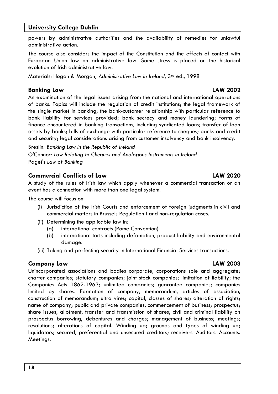powers by administrative authorities and the availability of remedies for unlawful administrative action.

The course also considers the impact of the Constitution and the effects of contact with European Union law on administrative law. Some stress is placed on the historical evolution of Irish administrative law.

Materials: Hogan & Morgan*, Administrative Law in Ireland*, 3rd ed., 1998

### **Banking Law LAW 2002**

An examination of the legal issues arising from the national and international operations of banks. Topics will include the regulation of credit institutions; the legal framework of the single market in banking; the bank-customer relationship with particular reference to bank liability for services provided; bank secrecy and money laundering; forms of finance encountered in banking transactions, including syndicated loans; transfer of loan assets by banks; bills of exchange with particular reference to cheques; banks and credit and security; legal considerations arising from customer insolvency and bank insolvency.

Breslin*: Banking Law in the Republic of Ireland*  O'Conno*r: Law Relating to Cheques and Analogous Instruments in Ireland*  Paget's *Law of Banking* 

### **Commercial Conflicts of Law LAW 2020**

A study of the rules of Irish law which apply whenever a commercial transaction or an event has a connection with more than one legal system.

The course will focus on:

- (i) Jurisdiction of the Irish Courts and enforcement of foreign judgments in civil and commercial matters in Brussels Regulation I and non-regulation cases.
- (ii) Determining the applicable law in:
	- (a) international contracts (Rome Convention)
	- (b) international torts including defamation, product liability and environmental damage.
- (iii) Taking and perfecting security in International Financial Services transactions.

### **Company Law LAW 2003**

Unincorporated associations and bodies corporate, corporations sole and aggregate; charter companies; statutory companies; joint stock companies; limitation of liability; the Companies Acts 1862-1963; unlimited companies; guarantee companies; companies limited by shares. Formation of company, memorandum, articles of association, construction of memorandum; ultra vires; capital, classes of shares; alteration of rights; name of company; public and private companies, commencement of business; prospectus; share issues; allotment, transfer and transmission of shares; civil and criminal liability on prospectus borrowing, debentures and charges; management of business; meetings; resolutions; alterations of capital. Winding up; grounds and types of winding up; liquidators; secured, preferential and unsecured creditors; receivers. Auditors. Accounts. Meetings.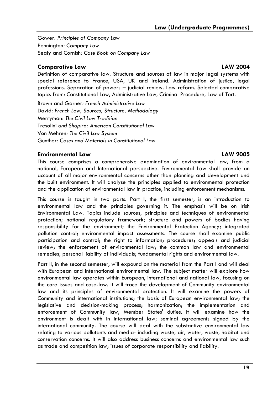Gower*: Principles of Company Law*  Pennington*: Company Law* Sealy and Cornish*: Case Book on Company Law* 

### **Comparative Law LAW 2004**

Definition of comparative law. Structure and sources of law in major legal systems with special reference to France, USA, UK and Ireland. Administration of justice, legal professions. Separation of powers – judicial review. Law reform. Selected comparative topics from: Constitutional Law, Administrative Law, Criminal Procedure, Law of Tort.

Brown and Garner*: French Administrative Law*  David*: French Law, Sources, Structure, Methodology*  Merryman*: The Civil Law Tradition*  Tresolini *and Shapiro: American Constitutional Law*  Von Mehren*: The Civil Law System*  Gunther*: Cases and Materials in Constitutional Law* 

### **Environmental Law LAW 2005**

This course comprises a comprehensive examination of environmental law, from a national, European and International perspective. Environmental Law shall provide an account of all major environmental concerns other than planning and development and the built environment. It will analyse the principles applied to environmental protection and the application of environmental law in practice, including enforcement mechanisms.

This course is taught in two parts. Part I, the first semester, is an introduction to environmental law and the principles governing it. The emphasis will be on Irish Environmental Law. Topics include sources, principles and techniques of environmental protection; national regulatory framework; structure and powers of bodies having responsibility for the environment; the Environmental Protection Agency; integrated pollution control; environmental impact assessments. The course shall examine public participation and control; the right to information; procedures; appeals and judicial review; the enforcement of environmental law; the common law and environmental remedies; personal liability of individuals; fundamental rights and environmental law.

Part II, in the second semester, will expound on the material from the Part I and will deal with European and international environmental law. The subject matter will explore how environmental law operates within European, international and national law, focusing on the core issues and case-law. It will trace the development of Community environmental law and its principles of environmental protection. It will examine the powers of Community and international institutions; the basis of European environmental law; the legislative and decision-making process; harmonization; the implementation and enforcement of Community law; Member States' duties. It will examine how the environment is dealt with in international law; seminal agreements signed by the international community. The course will deal with the substantive environmental law relating to various pollutants and media- including waste, air, water, waste, habitat and conservation concerns. It will also address business concerns and environmental law such as trade and competition law; issues of corporate responsibility and liability.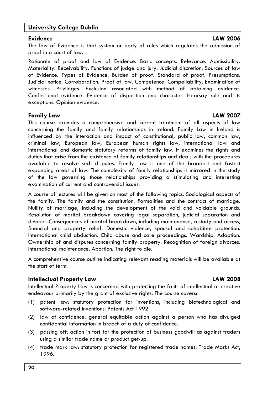The law of Evidence is that system or body of rules which regulates the admission of proof in a court of law.

Rationale of proof and law of Evidence. Basic concepts. Relevance. Admissibility. Materiality. Receivability. Functions of judge and jury. Judicial discretion. Sources of law of Evidence. Types of Evidence. Burden of proof. Standard of proof. Presumptions. Judicial notice. Corroboration. Proof of law. Competence. Compellability. Examination of witnesses. Privileges. Exclusion associated with method of obtaining evidence. Confessional evidence. Evidence of disposition and character. Hearsay rule and its exceptions. Opinion evidence.

### **Family Law LAW 2007**

This course provides a comprehensive and current treatment of all aspects of law concerning the family and family relationships in Ireland. Family Law in Ireland is influenced by the interaction and impact of constitutional, public law, common law, criminal law, European law, European human rights law, international law and international and domestic statutory reforms of family law. It examines the rights and duties that arise from the existence of family relationships and deals with the procedures available to resolve such disputes. Family Law is one of the broadest and fastest expanding areas of law. The complexity of family relationships is mirrored in the study of the law governing those relationships providing a stimulating and interesting examination of current and controversial issues.

A course of lectures will be given on most of the following topics. Sociological aspects of the family. The family and the constitution. Formalities and the contract of marriage. Nullity of marriage, including the development of the void and voidable grounds. Resolution of marital breakdown covering legal separation, judicial separation and divorce. Consequences of marital breakdown, including maintenance, custody and access, financial and property relief. Domestic violence, spousal and cohabitee protection. International child abduction. Child abuse and care proceedings. Wardship. Adoption. Ownership of and disputes concerning family property. Recognition of foreign divorces. International maintenance. Abortion. The right to die.

A comprehensive course outline indicating relevant reading materials will be available at the start of term.

### **Intellectual Property Law LAW 2008**

Intellectual Property Law is concerned with protecting the fruits of intellectual or creative endeavour primarily by the grant of exclusive rights. The course covers:

- (1) patent law: statutory protection for inventions, including biotechnological and software-related inventions: Patents Act 1992.
- (2) law of confidence: general equitable action against a person who has divulged confidential information in breach of a duty of confidence.
- (3) passing off: action in tort for the protection of business goodwill as against traders using a similar trade name or product get-up.
- (4) trade mark law: statutory protection for registered trade names: Trade Marks Act, 1996.

### **Evidence LAW 2006**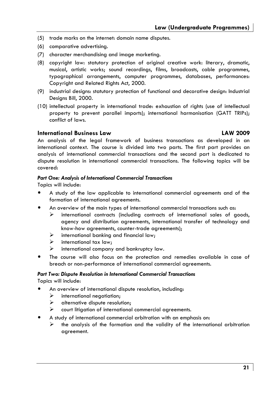- (5) trade marks on the internet: domain name disputes.
- (6) comparative advertising.
- (7) character merchandising and image marketing.
- (8) copyright law: statutory protection of original creative work: literary, dramatic, musical, artistic works; sound recordings, films, broadcasts, cable programmes, typographical arrangements, computer programmes, databases, performances: Copyright and Related Rights Act, 2000.
- (9) industrial designs: statutory protection of functional and decorative design: Industrial Designs Bill, 2000.
- (10) intellectual property in international trade: exhaustion of rights (use of intellectual property to prevent parallel imports); international harmonisation (GATT TRIPs); conflict of laws.

### **International Business Law LAW 2009**

An analysis of the legal framework of business transactions as developed in an international context. The course is divided into two parts. The first part provides an analysis of international commercial transactions and the second part is dedicated to dispute resolution in international commercial transactions. The following topics will be covered:

### *Part One: Analysis of International Commercial Transactions*

Topics will include:

- A study of the law applicable to international commercial agreements and of the formation of international agreements.
- An overview of the main types of international commercial transactions such as:
	- international contracts (including contracts of international sales of goods, agency and distribution agreements, international transfer of technology and know-how agreements, counter-trade agreements);
	- $\triangleright$  international banking and financial law;
	- $\triangleright$  international tax law;
	- $\triangleright$  international company and bankruptcy law.
- The course will also focus on the protection and remedies available in case of breach or non-performance of international commercial agreements.

### *Part Two: Dispute Resolution in International Commercial Transactions*

Topics will include:

- An overview of international dispute resolution, including:
	- $\triangleright$  international negotiation;
	- $\triangleright$  alternative dispute resolution;
	- $\triangleright$  court litigation of international commercial agreements.
- A study of international commercial arbitration with an emphasis on:
	- $\triangleright$  the analysis of the formation and the validity of the international arbitration agreement.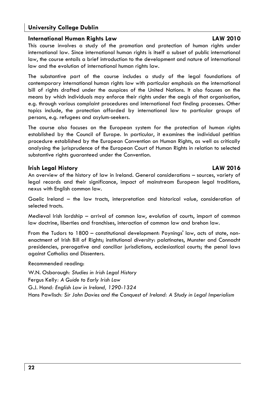### **International Human Rights Law LAW 2010**

This course involves a study of the promotion and protection of human rights under international law. Since international human rights is itself a subset of public international law, the course entails a brief introduction to the development and nature of international law and the evolution of international human rights law.

The substantive part of the course includes a study of the legal foundations of contemporary international human rights law with particular emphasis on the international bill of rights drafted under the auspices of the United Nations. It also focuses on the means by which individuals may enforce their rights under the aegis of that organisation, e.g. through various complaint procedures and international fact finding processes. Other topics include, the protection afforded by international law to particular groups of persons, e.g. refugees and asylum-seekers.

The course also focuses on the European system for the protection of human rights established by the Council of Europe. In particular, it examines the individual petition procedure established by the European Convention on Human Rights, as well as critically analysing the jurisprudence of the European Court of Human Rights in relation to selected substantive rights guaranteed under the Convention.

### **Irish Legal History LAW 2016**

An overview of the history of law in Ireland. General considerations – sources, variety of legal records and their significance, impact of mainstream European legal traditions, nexus with English common law.

Gaelic Ireland – the law tracts, interpretation and historical value, consideration of selected tracts.

Medieval Irish lordship – arrival of common law, evolution of courts, import of common law doctrine, liberties and franchises, interaction of common law and brehon law.

From the Tudors to 1800 – constitutional development: Poynings' law, acts of state, nonenactment of Irish Bill of Rights; institutional diversity: palatinates, Munster and Connacht presidencies, prerogative and conciliar jurisdictions, ecclesiastical courts; the penal laws against Catholics and Dissenters.

Recommended reading:

W.N. Osborough*: Studies in Irish Legal History* 

Fergus Kelly*: A Guide to Early Irish Law* 

G.J. Hand*: English Law in Ireland, 1290-1324* 

Hans Pawlisch*: Sir John Davies and the Conquest of Ireland: A Study in Legal Imperialism*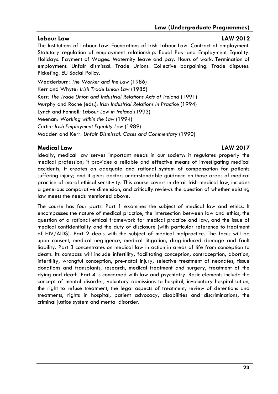### **Labour Law LAW 2012**

The Institutions of Labour Law. Foundations of Irish Labour Law. Contract of employment. Statutory regulation of employment relationship. Equal Pay and Employment Equality. Holidays. Payment of Wages. Maternity leave and pay. Hours of work. Termination of employment. Unfair dismissal. Trade Unions. Collective bargaining. Trade disputes. Picketing. EU Social Policy.

Wedderburn*: The Worker and the Law* (1986) Kerr and Whyte*: Irish Trade Union Law* (1985) Kerr*: The Trade Union and Industrial Relations Acts of Ireland* (1991) Murphy and Roche (eds.): *Irish Industrial Relations in Practice* (1994) Lynch and Fennell*: Labour Law in Ireland* (1993) Meenan*: Working within the Law* (1994) Curtin*: Irish Employment Equality Law* (1989) Madden and Kerr*: Unfair Dismissal: Cases and Commentary* (1990)

### **Medical Law LAW 2017**

Ideally, medical law serves important needs in our society: it regulates properly the medical profession; it provides a reliable and effective means of investigating medical accidents; it creates an adequate and rational system of compensation for patients suffering injury; and it gives doctors understandable guidance on those areas of medical practice of moral ethical sensitivity. This course covers in detail Irish medical law, includes a generous comparative dimension, and critically reviews the question of whether existing law meets the needs mentioned above.

The course has four parts. Part 1 examines the subject of medical law and ethics. It encompasses the nature of medical practice, the intersection between law and ethics, the question of a rational ethical framework for medical practice and law, and the issue of medical confidentiality and the duty of disclosure (with particular reference to treatment of HIV/AIDS). Part 2 deals with the subject of medical malpractice. The focus will be upon consent, medical negligence, medical litigation, drug-induced damage and fault liability. Part 3 concentrates on medical law in action in areas of life from conception to death. Its compass will include infertility, facilitating conception, contraception, abortion, infertility, wrongful conception, pre-natal injury, selective treatment of neonates, tissue donations and transplants, research, medical treatment and surgery, treatment of the dying and death. Part 4 is concerned with law and psychiatry. Basic elements include the concept of mental disorder, voluntary admissions to hospital, involuntary hospitalisation, the right to refuse treatment, the legal aspects of treatment, review of detentions and treatments, rights in hospital, patient advocacy, disabilities and discriminations, the criminal justice system and mental disorder.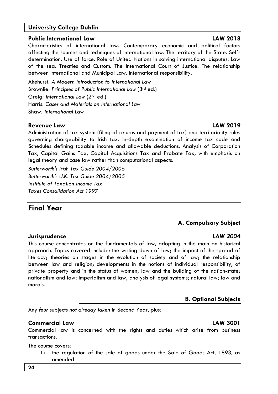### **Public International Law LAW 2018**

Characteristics of international law. Contemporary economic and political factors affecting the sources and techniques of international law. The territory of the State. Selfdetermination. Use of force. Role of United Nations in solving international disputes. Law of the sea. Treaties and Custom. The International Court of Justice. The relationship between International and Municipal Law. International responsibility.

Akehurst*: A Modern Introduction to International Law*  Brownlie*: Principles of Public International Law* (3rd ed.) Greig*: International Law* (2nd ed.) Harris*: Cases and Materials on International Law*  Shaw*: International Law* 

### **Revenue Law LAW 2019**

Administration of tax system (filing of returns and payment of tax) and territoriality rules governing chargeability to Irish tax. In-depth examination of income tax code and Schedules defining taxable income and allowable deductions. Analysis of Corporation Tax, Capital Gains Tax, Capital Acquisitions Tax and Probate Tax, with emphasis on legal theory and case law rather than computational aspects.

*Butterworth's Irish Tax Guide 2004/2005 Butterworth's U.K. Tax Guide 2004/2005 Institute of Taxation Income Tax Taxes Consolidation Act 1997* 

## **Final Year**

### **A. Compulsory Subject**

### **Jurisprudence** *LAW 3004*

This course concentrates on the fundamentals of law, adopting in the main an historical approach. Topics covered include: the writing down of law; the impact of the spread of literacy; theories on stages in the evolution of society and of law; the relationship between law and religion; developments in the notions of individual responsibility, of private property and in the status of women; law and the building of the nation-state; nationalism and law; imperialism and law; analysis of legal systems; natural law; law and morals.

### **B. Optional Subjects**

Any *four* subjects *not already taken* in Second Year, plus:

### **Commercial Law LAW 3001**

Commercial law is concerned with the rights and duties which arise from business transactions.

The course covers:

1) the regulation of the sale of goods under the Sale of Goods Act, 1893, as amended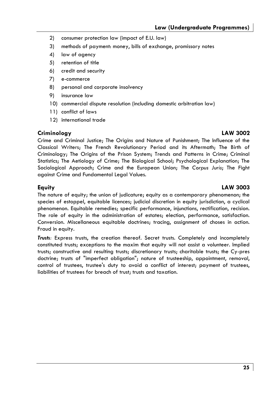- 2) consumer protection law (impact of E.U. law)
- 3) methods of payment: money, bills of exchange, promissory notes
- 4) law of agency
- 5) retention of title
- 6) credit and security
- 7) e-commerce
- 8) personal and corporate insolvency
- 9) insurance law
- 10) commercial dispute resolution (including domestic arbitration law)
- 11) conflict of laws
- 12) international trade

### **Criminology LAW 3002**

Crime and Criminal Justice; The Origins and Nature of Punishment; The Influence of the Classical Writers; The French Revolutionary Period and its Aftermath; The Birth of Criminology; The Origins of the Prison System; Trends and Patterns in Crime; Criminal Statistics; The Aetiology of Crime; The Biological School; Psychological Explanation; The Sociological Approach; Crime and the European Union; The *Corpus Juris*; The Fight against Crime and Fundamental Legal Values.

### **Equity LAW 3003**

The nature of equity; the union of judicature; equity as a contemporary phenomenon; the species of estoppel, equitable licences; judicial discretion in equity jurisdiction, a cyclical phenomenon. Equitable remedies; specific performance, injunctions, rectification, recision. The role of equity in the administration of estates; election, performance, satisfaction. Conversion. Miscellaneous equitable doctrines; tracing, assignment of choses in action. Fraud in equity.

*Trusts:* Express trusts, the creation thereof. Secret trusts. Completely and incompletely constituted trusts; exceptions to the maxim that equity will not assist a volunteer. Implied trusts; constructive and resulting trusts; discretionary trusts; charitable trusts; the Cy-pres doctrine; trusts of "imperfect obligation"; nature of trusteeship, appointment, removal, control of trustees, trustee's duty to avoid a conflict of interest; payment of trustees, liabilities of trustees for breach of trust; trusts and taxation.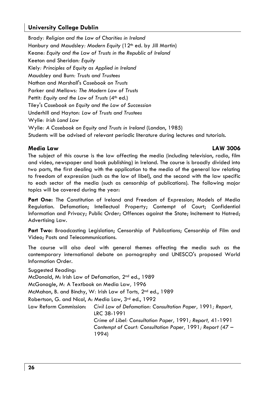Brady*: Religion and the Law of Charities in Ireland*  Hanbury and Maudsley*: Modern Equity* (12th ed. by Jill Martin) Keane*: Equity and the Law of Trusts in the Republic of Ireland*  Keeton and Sheridan*: Equity*  Kiely*: Principles of Equity as Applied in Ireland* Maudsley and Burn*: Trusts and Trustees*  Nathan and Marshall's *Casebook on Trusts*  Parker and Mellows*: The Modern Law of Trusts*  Pettit: Equity and the Law of Trusts (4<sup>th</sup> ed.) Tiley's *Casebook on Equity and the Law of Succession*  Underhill and Hayton*: Law of Trusts and Trustees*  Wylie*: Irish Land Law*  Wylie*: A Casebook on Equity and Trusts in Ireland* (London, 1985) Students will be advised of relevant periodic literature during lectures and tutorials.

### **Media Law LAW 3006**

The subject of this course is the law affecting the media (including television, radio, film and video, newspaper and book publishing) in Ireland. The course is broadly divided into two parts, the first dealing with the application to the media of the general law relating to freedom of expression (such as the law of libel), and the second with the law specific to each sector of the media (such as censorship of publications). The following major topics will be covered during the year:

**Part One:** The Constitution of Ireland and Freedom of Expression; Models of Media Regulation. Defamation; Intellectual Property; Contempt of Court; Confidential Information and Privacy; Public Order; Offences against the State; Incitement to Hatred; Advertising Law.

**Part Two:** Broadcasting Legislation; Censorship of Publications; Censorship of Film and Video; Posts and Telecommunications.

The course will also deal with general themes affecting the media such as the contemporary international debate on pornography and UNESCO's proposed World Information Order.

Suggested Reading: McDonald, M: Irish Law of Defamation*,* 2nd ed., 1989 McGonagle, M*:* A Textbook on Media Law*,* 1996 McMahon, B. and Binchy, W*:* Irish Law of Torts*,* 2nd ed., 1989 Robertson, G. and Nicol, A: Media Law, 3rd ed., 1992 Law Reform Commission: *Civil Law of Defamation: Consultation Paper,* 1991*; Report,*  LRC 38-1991 *Crime of Libel: Consultation Paper,* 1991*; Report,* 41-1991 *Contempt of Court: Consultation Paper,* 1991*; Report (*47 – 1994)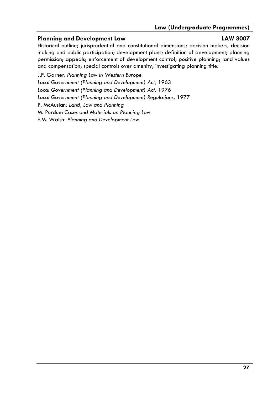### **Planning and Development Law Contract Contract LAW 3007**

Historical outline; jurisprudential and constitutional dimensions; decision makers, decision making and public participation; development plans; definition of development; planning permission; appeals; enforcement of development control; positive planning; land values and compensation; special controls over amenity; investigating planning title.

J.F. Garner: *Planning Law in Western Europe*  Local Government (Planning and Development) Act, 1963 Local Government (Planning and Development) Act, 1976 Local Government (Planning and Development) Regulations, 1977 P. McAuslan*: Land, Law and Planning*  M. Purdue: *Cases and Materials on Planning Law*  E.M. Walsh*: Planning and Development Law*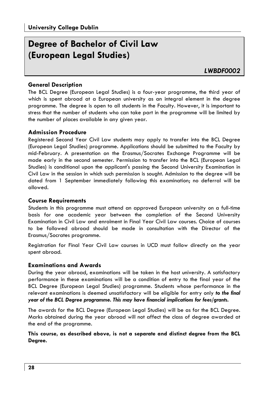## **Degree of Bachelor of Civil Law (European Legal Studies)**

### **General Description**

The BCL Degree (European Legal Studies) is a four-year programme, the third year of which is spent abroad at a European university as an integral element in the degree programme. The degree is open to all students in the Faculty. However, it is important to stress that the number of students who can take part in the programme will be limited by the number of places available in any given year.

### **Admission Procedure**

Registered Second Year Civil Law students may apply to transfer into the BCL Degree (European Legal Studies) programme. Applications should be submitted to the Faculty by mid-February. A presentation on the Erasmus/Socrates Exchange Programme will be made early in the second semester. Permission to transfer into the BCL (European Legal Studies) is conditional upon the applicant's passing the Second University Examination in Civil Law in the session in which such permission is sought. Admission to the degree will be dated from 1 September immediately following this examination; no deferral will be allowed.

### **Course Requirements**

Students in this programme must attend an approved European university on a full-time basis for one academic year between the completion of the Second University Examination in Civil Law and enrolment in Final Year Civil Law courses. Choice of courses to be followed abroad should be made in consultation with the Director of the Erasmus/Socrates programme.

Registration for Final Year Civil Law courses in UCD must follow directly on the year spent abroad.

### **Examinations and Awards**

During the year abroad, examinations will be taken in the host university. A satisfactory performance in these examinations will be a condition of entry to the final year of the BCL Degree (European Legal Studies) programme. Students whose performance in the relevant examinations is deemed unsatisfactory will be eligible for entry only *to the final year of the BCL Degree programme. This may have financial implications for fees/grants.* 

The awards for the BCL Degree (European Legal Studies) will be as for the BCL Degree. Marks obtained during the year abroad will not affect the class of degree awarded at the end of the programme.

**This course, as described above, is not a separate and distinct degree from the BCL Degree.**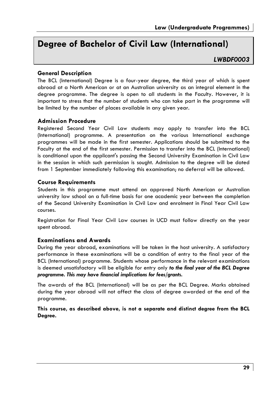## **Degree of Bachelor of Civil Law (International)**

### *LWBDF0003*

### **General Description**

The BCL (International) Degree is a four-year degree, the third year of which is spent abroad at a North American or at an Australian university as an integral element in the degree programme. The degree is open to all students in the Faculty. However, it is important to stress that the number of students who can take part in the programme will be limited by the number of places available in any given year.

### **Admission Procedure**

Registered Second Year Civil Law students may apply to transfer into the BCL (International) programme. A presentation on the various International exchange programmes will be made in the first semester. Applications should be submitted to the Faculty at the end of the first semester. Permission to transfer into the BCL (International) is conditional upon the applicant's passing the Second University Examination in Civil Law in the session in which such permission is sought. Admission to the degree will be dated from 1 September immediately following this examination; no deferral will be allowed.

### **Course Requirements**

Students in this programme must attend an approved North American or Australian university law school on a full-time basis for one academic year between the completion of the Second University Examination in Civil Law and enrolment in Final Year Civil Law courses.

Registration for Final Year Civil Law courses in UCD must follow directly on the year spent abroad.

### **Examinations and Awards**

During the year abroad, examinations will be taken in the host university. A satisfactory performance in these examinations will be a condition of entry to the final year of the BCL (International) programme. Students whose performance in the relevant examinations is deemed unsatisfactory will be eligible for entry only *to the final year of the BCL Degree programme. This may have financial implications for fees/grants.* 

The awards of the BCL (International) will be as per the BCL Degree. Marks obtained during the year abroad will not affect the class of degree awarded at the end of the programme.

**This course, as described above, is not a separate and distinct degree from the BCL Degree.**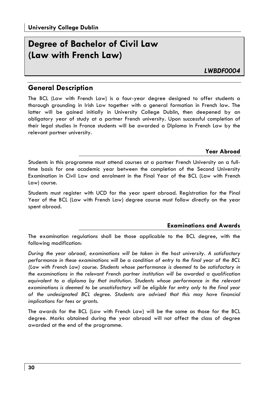## **Degree of Bachelor of Civil Law (Law with French Law)**

*LWBDF0004* 

### **General Description**

The BCL (Law with French Law) is a four-year degree designed to offer students a thorough grounding in Irish Law together with a general formation in French law. The latter will be gained initially in University College Dublin, then deepened by an obligatory year of study at a partner French university. Upon successful completion of their legal studies in France students will be awarded a Diploma in French Law by the relevant partner university.

### **Year Abroad**

Students in this programme must attend courses at a partner French University on a fulltime basis for one academic year between the completion of the Second University Examination in Civil Law and enrolment in the Final Year of the BCL (Law with French Law) course.

Students must register with UCD for the year spent abroad. Registration for the Final Year of the BCL (Law with French Law) degree course must follow directly on the year spent abroad.

### **Examinations and Awards**

The examination regulations shall be those applicable to the BCL degree, with the following modification:

*During the year abroad, examinations will be taken in the host university. A satisfactory performance in these examinations will be a condition of entry to the final year of the BCL (Law with French Law) course. Students whose performance is deemed to be satisfactory in the examinations in the relevant French partner institution will be awarded a qualification equivalent to a diploma by that institution. Students whose performance in the relevant*  examinations is deemed to be unsatisfactory will be eligible for entry only to the final year *of the undesignated BCL degree. Students are advised that this may have financial implications for fees or grants.* 

The awards for the BCL (Law with French Law) will be the same as those for the BCL degree. Marks obtained during the year abroad will not affect the class of degree awarded at the end of the programme.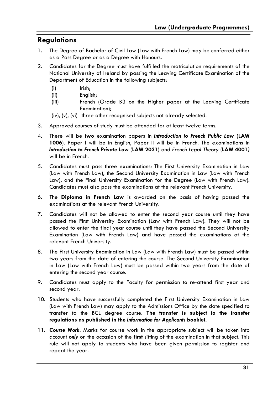## **Regulations**

- 1. The Degree of Bachelor of Civil Law (Law with French Law) may be conferred either as a Pass Degree or as a Degree with Honours.
- 2. Candidates for the Degree must have fulfilled the matriculation requirements of the National University of Ireland by passing the Leaving Certificate Examination of the Department of Education in the following subjects:
	- (i) Irish;
	- (ii) English;
	- (iii) French (Grade B3 on the Higher paper at the Leaving Certificate Examination);

(iv), (v), (vi) three other recognised subjects not already selected.

- 3. Approved courses of study must be attended for at least twelve terms.
- 4. There will be **two** examination papers in *Introduction to French Public Law* (**LAW 1006**). Paper I will be in English, Paper II will be in French. The examinations in *Introduction to French Private Law* (**LAW 2021**) and *French Legal Theory* (**LAW 4001***)* will be in French.
- 5. Candidates must pass three examinations: The First University Examination in Law (Law with French Law), the Second University Examination in Law (Law with French Law), and the Final University Examination for the Degree (Law with French Law). Candidates must also pass the examinations at the relevant French University.
- 6. The **Diploma in French Law** is awarded on the basis of having passed the examinations at the relevant French University.
- 7. Candidates will not be allowed to enter the second year course until they have passed the First University Examination (Law with French Law). They will not be allowed to enter the final year course until they have passed the Second University Examination (Law with French Law) and have passed the examinations at the relevant French University.
- 8. The First University Examination in Law (Law with French Law) must be passed within two years from the date of entering the course. The Second University Examination in Law (Law with French Law) must be passed within two years from the date of entering the second year course.
- 9. Candidates must apply to the Faculty for permission to re-attend first year and second year.
- 10. Students who have successfully completed the First University Examination in Law (Law with French Law) may apply to the Admissions Office by the date specified to transfer to the BCL degree course. **The transfer is subject to the transfer regulations as published in the** *Information for Applicants* **booklet.**
- 11. *Course Work.* Marks for course work in the appropriate subject will be taken into account *only* on the occasion of the **first** sitting of the examination in that subject. This rule will not apply to students who have been given permission to register and repeat the year.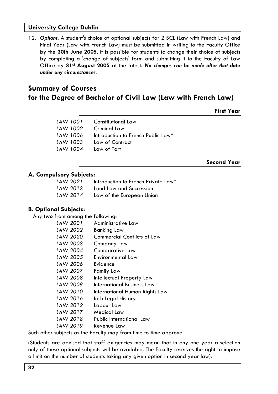12. *Options.* A student's choice of optional subjects for 2 BCL (Law with French Law) and Final Year (Law with French Law) must be submitted in writing to the Faculty Office by the **30th June 2005**. It is possible for students to change their choice of subjects by completing a 'change of subjects' form and submitting it to the Faculty of Law Office by **31st August 2005** at the latest**.** *No changes can be made after that date under any circumstances.*

## **Summary of Courses for the Degree of Bachelor of Civil Law (Law with French Law)**

**First Year** 

| LAW 1001 | Constitutional Law                 |
|----------|------------------------------------|
| LAW 1002 | Criminal Law                       |
| LAW 1006 | Introduction to French Public Law* |
| LAW 1003 | Law of Contract                    |
| LAW 1004 | Law of Tort                        |
|          |                                    |

**Second Year** 

### **A. Compulsory Subjects:**

| LAW 2021 | Introduction to French Private Law* |
|----------|-------------------------------------|
| LAW 2013 | Land Law and Succession             |
| LAW 2014 | Law of the European Union           |

### **B. Optional Subjects:**

Any *two* from among the following:

| LAW 2001 | Administrative Law             |
|----------|--------------------------------|
| LAW 2002 | Banking Law                    |
| LAW 2020 | Commercial Conflicts of Law    |
| LAW 2003 | Company Law                    |
| LAW 2004 | Comparative Law                |
| LAW 2005 | Environmental Law              |
| LAW 2006 | <b>Fvidence</b>                |
| LAW 2007 | Family Law                     |
| LAW 2008 | Intellectual Property Law      |
| LAW 2009 | International Business Law     |
| LAW 2010 | International Human Rights Law |
| LAW 2016 | Irish Legal History            |
| LAW 2012 | Labour Law                     |
| LAW 2017 | Medical Law                    |
| LAW 2018 | Public International Law       |
| LAW 2019 | Revenue Law                    |

Such other subjects as the Faculty may from time to time approve.

(Students are advised that staff exigencies may mean that in any one year a selection only of these optional subjects will be available. The Faculty reserves the right to impose a limit on the number of students taking any given option in second year law).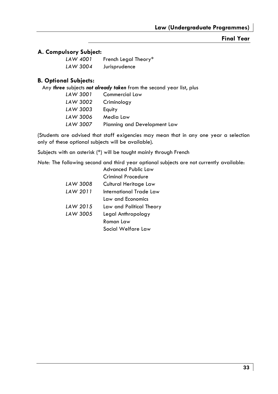### **Final Year**

### **A. Compulsory Subject:**

| LAW 4001 | French Legal Theory* |
|----------|----------------------|
| LAW 3004 | Jurisprudence        |

### **B. Optional Subjects:**

Any *three* subjects *not already taken* from the second year list, plus

| LAW 3001 | Commercial Law               |
|----------|------------------------------|
| LAW 3002 | Criminology                  |
| LAW 3003 | Equity                       |
| LAW 3006 | Media Law                    |
| LAW 3007 | Planning and Development Law |

(Students are advised that staff exigencies may mean that in any one year a selection only of these optional subjects will be available).

Subjects with an asterisk (\*) will be taught mainly through French

*Note:* The following second and third year optional subjects are not currently available: Advanced Public Law

|          | Advanced Public Law      |
|----------|--------------------------|
|          | Criminal Procedure       |
| LAW 3008 | Cultural Heritage Law    |
| LAW 2011 | International Trade Law  |
|          | Law and Economics        |
| LAW 2015 | Law and Political Theory |
| LAW 3005 | Legal Anthropology       |
|          | Roman Law                |
|          | Social Welfare Law       |
|          |                          |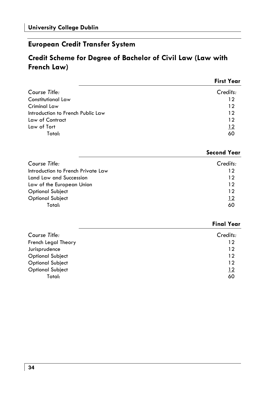## **European Credit Transfer System**

## **Credit Scheme for Degree of Bachelor of Civil Law (Law with French Law)**

|                                   | <b>First Year</b> |
|-----------------------------------|-------------------|
| Course Title:                     | Credits:          |
| <b>Constitutional Law</b>         | 12                |
| Criminal Law                      | 12                |
| Introduction to French Public Law | 12                |
| Law of Contract                   | 12                |
| Law of Tort                       | 12                |
| Total:                            | 60                |

### **Second Year**

| Course Title:                      | Credits:   |
|------------------------------------|------------|
| Introduction to French Private Law | 12         |
| Land Law and Succession            | 12         |
| Law of the European Union          | 12         |
| Optional Subject                   | 12         |
| <b>Optional Subject</b>            | <u> 12</u> |
| Total:                             | 60         |

|                         | <b>Final Year</b> |
|-------------------------|-------------------|
| Course Title:           | Credits:          |
| French Legal Theory     | 12                |
| Jurisprudence           | 12                |
| <b>Optional Subject</b> | 12                |
| <b>Optional Subject</b> | 12                |
| <b>Optional Subject</b> | 12                |
| Total:                  | 60                |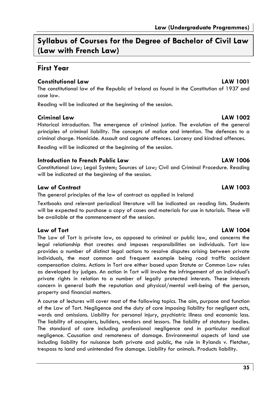**Syllabus of Courses for the Degree of Bachelor of Civil Law (Law with French Law)** 

### **First Year**

### **Constitutional Law LAW 1001**

The constitutional law of the Republic of Ireland as found in the Constitution of 1937 and case law.

Reading will be indicated at the beginning of the session.

### **Criminal Law LAW 1002**

Historical introduction. The emergence of criminal justice. The evolution of the general principles of criminal liability. The concepts of malice and intention. The defences to a criminal charge. Homicide. Assault and cognate offences. Larceny and kindred offences. Reading will be indicated at the beginning of the session.

### **Introduction to French Public Law LAW 1006**

Constitutional Law; Legal System; Sources of Law; Civil and Criminal Procedure. Reading will be indicated at the beginning of the session.

### **Law of Contract LAW 1003**

The general principles of the law of contract as applied in Ireland

Textbooks and relevant periodical literature will be indicated on reading lists. Students will be expected to purchase a copy of cases and materials for use in tutorials. These will be available at the commencement of the session.

### **Law of Tort LAW 1004**

The Law of Tort is private law, as opposed to criminal or public law, and concerns the legal relationship that creates and imposes responsibilities on individuals. Tort law provides a number of distinct legal actions to resolve disputes arising between private individuals, the most common and frequent example being road traffic accident compensation claims. Actions in Tort are either based upon Statute or Common Law rules as developed by judges. An action in Tort will involve the infringement of an individual's private rights in relation to a number of legally protected interests. These interests concern in general both the reputation and physical/mental well-being of the person, property and financial matters.

A course of lectures will cover most of the following topics. The aim, purpose and function of the Law of Tort. Negligence and the duty of care imposing liability for negligent acts, words and omissions. Liability for personal injury, psychiatric illness and economic loss. The liability of occupiers, builders, vendors and lessors. The liability of statutory bodies. The standard of care including professional negligence and in particular medical negligence. Causation and remoteness of damage. Environmental aspects of land use including liability for nuisance both private and public, the rule in Rylands v. Fletcher, trespass to land and unintended fire damage. Liability for animals. Products liability.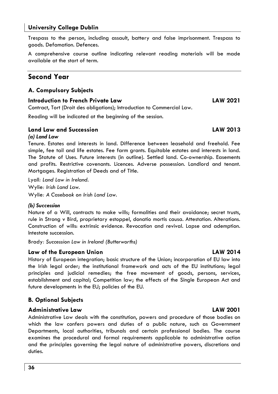Trespass to the person, including assault, battery and false imprisonment. Trespass to goods. Defamation. Defences.

A comprehensive course outline indicating relevant reading materials will be made available at the start of term.

## **Second Year**

### **A. Compulsory Subjects**

### **Introduction to French Private Law LAW 2021**

Contract, Tort (Droit des obligations); Introduction to Commercial Law.

Reading will be indicated at the beginning of the session.

### **Land Law and Succession LAW 2013**

### *(a) Land Law*

Tenure. Estates and interests in land. Difference between leasehold and freehold. Fee simple, fee tail and life estates. Fee farm grants. Equitable estates and interests in land. The Statute of Uses. Future interests (in outline). Settled land. Co-ownership. Easements and profits. Restrictive covenants. Licences. Adverse possession. Landlord and tenant. Mortgages. Registration of Deeds and of Title.

Lyall*: Land Law in Ireland.*  Wylie*: Irish Land Law.*  Wylie*: A Casebook on Irish Land Law.* 

### *(b) Succession*

Nature of a Will, contracts to make wills; formalities and their avoidance; secret trusts, rule in Strong v Bird, proprietary estoppel, donatio mortis causa. Attestation. Alterations. Construction of wills: extrinsic evidence. Revocation and revival. Lapse and ademption. Intestate succession.

Brady*: Succession Law in Ireland (Butterworths)* 

### **Law of the European Union LAW 2014**

History of European integration; basic structure of the Union; incorporation of EU law into the Irish legal order; the institutional framework and acts of the EU institutions; legal principles and judicial remedies; the free movement of goods, persons, services, establishment and capital; Competition law; the effects of the Single European Act and future developments in the EU; policies of the EU.

### **B. Optional Subjects**

### **Administrative Law LAW 2001**

Administrative Law deals with the constitution, powers and procedure of those bodies on which the law confers powers and duties of a public nature, such as Government Departments, local authorities, tribunals and certain professional bodies. The course examines the procedural and formal requirements applicable to administrative action and the principles governing the legal nature of administrative powers, discretions and duties.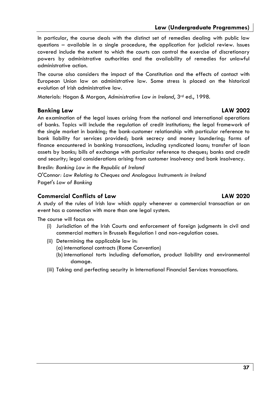## **Law (Undergraduate Programmes)**

In particular, the course deals with the distinct set of remedies dealing with public law questions – available in a single procedure, the application for judicial review. Issues covered include the extent to which the courts can control the exercise of discretionary powers by administrative authorities and the availability of remedies for unlawful administrative action.

The course also considers the impact of the Constitution and the effects of contact with European Union law on administrative law. Some stress is placed on the historical evolution of Irish administrative law.

Materials*:* Hogan & Morgan, *Administrative Law in Ireland*, 3rd ed., 1998*.*

### **Banking Law LAW 2002**

An examination of the legal issues arising from the national and international operations of banks. Topics will include the regulation of credit institutions; the legal framework of the single market in banking; the bank-customer relationship with particular reference to bank liability for services provided; bank secrecy and money laundering; forms of finance encountered in banking transactions, including syndicated loans; transfer of loan assets by banks; bills of exchange with particular reference to cheques; banks and credit and security; legal considerations arising from customer insolvency and bank insolvency.

Breslin*: Banking Law in the Republic of Ireland* 

O'Conno*r: Law Relating to Cheques and Analogous Instruments in Ireland*  Paget's *Law of Banking* 

### **Commercial Conflicts of Law LAW 2020**

A study of the rules of Irish law which apply whenever a commercial transaction or an event has a connection with more than one legal system.

The course will focus on:

- (i) Jurisdiction of the Irish Courts and enforcement of foreign judgments in civil and commercial matters in Brussels Regulation I and non-regulation cases.
- (ii) Determining the applicable law in:
	- (a) international contracts (Rome Convention)
	- (b) international torts including defamation, product liability and environmental damage.
- (iii) Taking and perfecting security in International Financial Services transactions.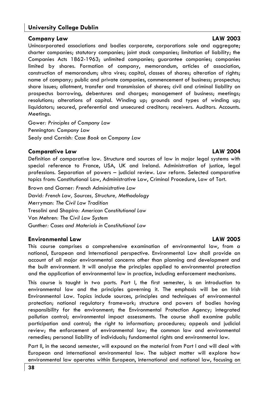### **Company Law LAW 2003**

Unincorporated associations and bodies corporate, corporations sole and aggregate; charter companies; statutory companies; joint stock companies; limitation of liability; the Companies Acts 1862-1963; unlimited companies; guarantee companies; companies limited by shares. Formation of company, memorandum, articles of association, construction of memorandum; ultra vires; capital, classes of shares; alteration of rights; name of company; public and private companies, commencement of business; prospectus; share issues; allotment, transfer and transmission of shares; civil and criminal liability on prospectus borrowing, debentures and charges; management of business; meetings; resolutions; alterations of capital. Winding up; grounds and types of winding up; liquidators; secured, preferential and unsecured creditors; receivers. Auditors. Accounts. Meetings.

Gower*: Principles of Company Law*  Pennington*: Company Law*  Sealy and Cornish*: Case Book on Company Law* 

### **Comparative Law LAW 2004**

Definition of comparative law. Structure and sources of law in major legal systems with special reference to France, USA, UK and Ireland. Administration of justice, legal professions. Separation of powers – judicial review. Law reform. Selected comparative topics from: Constitutional Law, Administrative Law, Criminal Procedure, Law of Tort.

Brown and Garner*: French Administrative Law*  David*: French Law, Sources, Structure, Methodology*  Merryman*: The Civil Law Tradition*  Tresolini and Shapiro*: American Constitutional Law*  Von Mehren*: The Civil Law System*  Gunther*: Cases and Materials in Constitutional Law* 

### **Environmental Law LAW 2005**

This course comprises a comprehensive examination of environmental law, from a national, European and International perspective. Environmental Law shall provide an account of all major environmental concerns other than planning and development and the built environment. It will analyse the principles applied to environmental protection and the application of environmental law in practice, including enforcement mechanisms.

This course is taught in two parts. Part I, the first semester, is an introduction to environmental law and the principles governing it. The emphasis will be on Irish Environmental Law. Topics include sources, principles and techniques of environmental protection; national regulatory framework; structure and powers of bodies having responsibility for the environment; the Environmental Protection Agency; integrated pollution control; environmental impact assessments. The course shall examine public participation and control; the right to information; procedures; appeals and judicial review; the enforcement of environmental law; the common law and environmental remedies; personal liability of individuals; fundamental rights and environmental law.

Part II, in the second semester, will expound on the material from Part I and will deal with European and international environmental law. The subject matter will explore how environmental law operates within European, international and national law, focusing on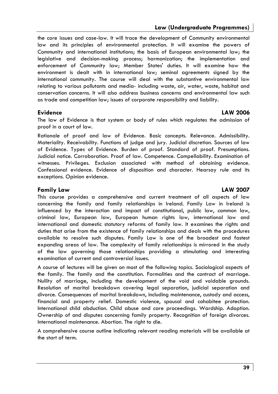### **Law (Undergraduate Programmes)**

the core issues and case-law. It will trace the development of Community environmental law and its principles of environmental protection. It will examine the powers of Community and international institutions; the basis of European environmental law; the legislative and decision-making process; harmonization; the implementation and enforcement of Community law; Member States' duties. It will examine how the environment is dealt with in international law; seminal agreements signed by the international community. The course will deal with the substantive environmental law relating to various pollutants and media- including waste, air, water, waste, habitat and conservation concerns. It will also address business concerns and environmental law such as trade and competition law; issues of corporate responsibility and liability.

The law of Evidence is that system or body of rules which regulates the admission of proof in a court of law.

Rationale of proof and law of Evidence. Basic concepts. Relevance. Admissibility. Materiality. Receivability. Functions of judge and jury. Judicial discretion. Sources of law of Evidence. Types of Evidence. Burden of proof. Standard of proof. Presumptions. Judicial notice. Corroboration. Proof of law. Competence. Compellability. Examination of witnesses. Privileges. Exclusion associated with method of obtaining evidence. Confessional evidence. Evidence of disposition and character. Hearsay rule and its exceptions. Opinion evidence.

### **Family Law LAW 2007**

This course provides a comprehensive and current treatment of all aspects of law concerning the family and family relationships in Ireland. Family Law in Ireland is influenced by the interaction and impact of constitutional, public law, common law, criminal law, European law, European human rights law, international law and international and domestic statutory reforms of family law. It examines the rights and duties that arise from the existence of family relationships and deals with the procedures available to resolve such disputes. Family Law is one of the broadest and fastest expanding areas of law. The complexity of family relationships is mirrored in the study of the law governing those relationships providing a stimulating and interesting examination of current and controversial issues.

A course of lectures will be given on most of the following topics. Sociological aspects of the family. The family and the constitution. Formalities and the contract of marriage. Nullity of marriage, including the development of the void and voidable grounds. Resolution of marital breakdown covering legal separation, judicial separation and divorce. Consequences of marital breakdown, including maintenance, custody and access, financial and property relief. Domestic violence, spousal and cohabitee protection. International child abduction. Child abuse and care proceedings. Wardship. Adoption. Ownership of and disputes concerning family property. Recognition of foreign divorces. International maintenance. Abortion. The right to die.

A comprehensive course outline indicating relevant reading materials will be available at the start of term.

### **Evidence LAW 2006**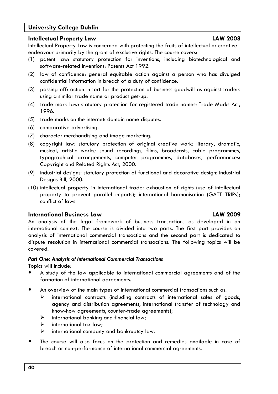### **Intellectual Property Law LAW 2008**

Intellectual Property Law is concerned with protecting the fruits of intellectual or creative endeavour primarily by the grant of exclusive rights. The course covers:

- (1) patent law: statutory protection for inventions, including biotechnological and software-related inventions: Patents Act 1992.
- (2) law of confidence: general equitable action against a person who has divulged confidential information in breach of a duty of confidence.
- (3) passing off: action in tort for the protection of business goodwill as against traders using a similar trade name or product get-up.
- (4) trade mark law: statutory protection for registered trade names: Trade Marks Act, 1996.
- (5) trade marks on the internet: domain name disputes.
- (6) comparative advertising.
- (7) character merchandising and image marketing.
- (8) copyright law: statutory protection of original creative work: literary, dramatic, musical, artistic works; sound recordings, films, broadcasts, cable programmes, typographical arrangements, computer programmes, databases, performances: Copyright and Related Rights Act, 2000.
- (9) industrial designs: statutory protection of functional and decorative design: Industrial Designs Bill, 2000.
- (10) intellectual property in international trade: exhaustion of rights (use of intellectual property to prevent parallel imports); international harmonisation (GATT TRIPs); conflict of laws

### **International Business Law LAW 2009**

An analysis of the legal framework of business transactions as developed in an international context. The course is divided into two parts. The first part provides an analysis of international commercial transactions and the second part is dedicated to dispute resolution in international commercial transactions. The following topics will be covered:

### *Part One: Analysis of International Commercial Transactions*

Topics will include:

- A study of the law applicable to international commercial agreements and of the formation of international agreements.
- An overview of the main types of international commercial transactions such as:
	- $\triangleright$  international contracts (including contracts of international sales of goods, agency and distribution agreements, international transfer of technology and know-how agreements, counter-trade agreements);
	- $\triangleright$  international banking and financial law;
	- $\triangleright$  international tax law;
	- $\triangleright$  international company and bankruptcy law.
- The course will also focus on the protection and remedies available in case of breach or non-performance of international commercial agreements.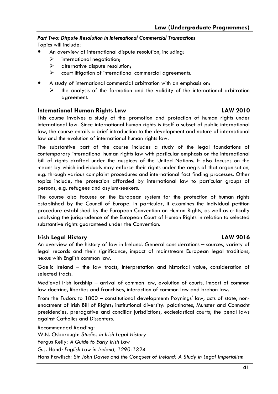## *Part Two: Dispute Resolution in International Commercial Transactions*

Topics will include:

- An overview of international dispute resolution, including:
	- $\triangleright$  international negotiation:
	- $\triangleright$  alternative dispute resolution;
	- $\triangleright$  court litigation of international commercial agreements.
- A study of international commercial arbitration with an emphasis on:
	- $\triangleright$  the analysis of the formation and the validity of the international arbitration agreement.

### **International Human Rights Law LAW 2010**

This course involves a study of the promotion and protection of human rights under international law. Since international human rights is itself a subset of public international law, the course entails a brief introduction to the development and nature of international law and the evolution of international human rights law.

The substantive part of the course includes a study of the legal foundations of contemporary international human rights law with particular emphasis on the international bill of rights drafted under the auspices of the United Nations. It also focuses on the means by which individuals may enforce their rights under the aegis of that organisation, e.g. through various complaint procedures and international fact finding processes. Other topics include, the protection afforded by international law to particular groups of persons, e.g. refugees and asylum-seekers.

The course also focuses on the European system for the protection of human rights established by the Council of Europe. In particular, it examines the individual petition procedure established by the European Convention on Human Rights, as well as critically analysing the jurisprudence of the European Court of Human Rights in relation to selected substantive rights guaranteed under the Convention.

### **Irish Legal History LAW 2016**

An overview of the history of law in Ireland. General considerations – sources, variety of legal records and their significance, impact of mainstream European legal traditions, nexus with English common law.

Gaelic Ireland – the law tracts, interpretation and historical value, consideration of selected tracts.

Medieval Irish lordship – arrival of common law, evolution of courts, import of common law doctrine, liberties and franchises, interaction of common law and brehon law.

From the Tudors to 1800 – constitutional development: Poynings' law, acts of state, nonenactment of Irish Bill of Rights; institutional diversity: palatinates, Munster and Connacht presidencies, prerogative and conciliar jurisdictions, ecclesiastical courts; the penal laws against Catholics and Dissenters.

Recommended Reading: W.N. Osborough*: Studies in Irish Legal History*  Fergus Kelly*: A Guide to Early Irish Law*  G.J. Hand*: English Law in Ireland, 1290-1324*  Hans Pawlisch*: Sir John Davies and the Conquest of Ireland: A Study in Legal Imperialism*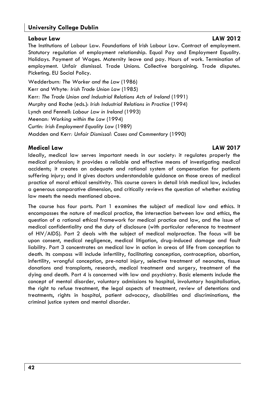### **Labour Law LAW 2012**

The Institutions of Labour Law. Foundations of Irish Labour Law. Contract of employment. Statutory regulation of employment relationship. Equal Pay and Employment Equality. Holidays. Payment of Wages. Maternity leave and pay. Hours of work. Termination of employment. Unfair dismissal. Trade Unions. Collective bargaining. Trade disputes. Picketing. EU Social Policy.

Wedderburn*: The Worker and the Law* (1986) Kerr and Whyte*: Irish Trade Union Law* (1985) Kerr*: The Trade Union and Industrial Relations Acts of Ireland* (1991) Murphy and Roche (eds.): *Irish Industrial Relations in Practice* (1994) Lynch and Fennell: *Labour Law in Ireland* (1993) Meenan*: Working within the Law* (1994) Curtin*: Irish Employment Equality Law* (1989) Madden and Kerr*: Unfair Dismissal: Cases and Commentary* (1990)

### **Medical Law LAW 2017**

Ideally, medical law serves important needs in our society: it regulates properly the medical profession; it provides a reliable and effective means of investigating medical accidents; it creates an adequate and rational system of compensation for patients suffering injury; and it gives doctors understandable guidance on those areas of medical practice of moral ethical sensitivity. This course covers in detail Irish medical law, includes a generous comparative dimension, and critically reviews the question of whether existing law meets the needs mentioned above.

The course has four parts. Part 1 examines the subject of medical law and ethics. It encompasses the nature of medical practice, the intersection between law and ethics, the question of a rational ethical framework for medical practice and law, and the issue of medical confidentiality and the duty of disclosure (with particular reference to treatment of HIV/AIDS). Part 2 deals with the subject of medical malpractice. The focus will be upon consent, medical negligence, medical litigation, drug-induced damage and fault liability. Part 3 concentrates on medical law in action in areas of life from conception to death. Its compass will include infertility, facilitating conception, contraception, abortion, infertility, wrongful conception, pre-natal injury, selective treatment of neonates, tissue donations and transplants, research, medical treatment and surgery, treatment of the dying and death. Part 4 is concerned with law and psychiatry. Basic elements include the concept of mental disorder, voluntary admissions to hospital, involuntary hospitalisation, the right to refuse treatment, the legal aspects of treatment, review of detentions and treatments, rights in hospital, patient advocacy, disabilities and discriminations, the criminal justice system and mental disorder.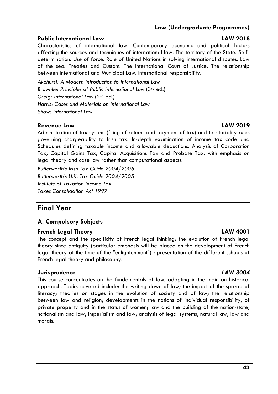### **Public International Law LAW 2018**

Characteristics of international law. Contemporary economic and political factors affecting the sources and techniques of international law. The territory of the State. Selfdetermination. Use of force. Role of United Nations in solving international disputes. Law of the sea. Treaties and Custom. The International Court of Justice. The relationship between International and Municipal Law. International responsibility.

*Akehurst: A Modern Introduction to International Law Brownlie: Principles of Public International Law* (3rd ed.) *Greig: International Law* (2nd ed.) *Harris: Cases and Materials on International Law Shaw: International Law*

### **Revenue Law LAW 2019**

Administration of tax system (filing of returns and payment of tax) and territoriality rules governing chargeability to Irish tax. In-depth examination of income tax code and Schedules defining taxable income and allowable deductions. Analysis of Corporation Tax, Capital Gains Tax, Capital Acquisitions Tax and Probate Tax, with emphasis on legal theory and case law rather than computational aspects.

*Butterworth's Irish Tax Guide 2004/2005 Butterworth's U.K. Tax Guide 2004/2005 Institute of Taxation Income Tax Taxes Consolidation Act 1997* 

## **Final Year**

### **A. Compulsory Subjects**

### **French Legal Theory Community Community Community Community CAW 4001**

The concept and the specificity of French legal thinking; the evolution of French legal theory since antiquity (particular emphasis will be placed on the development of French legal theory at the time of the "enlightenment") ; presentation of the different schools of French legal theory and philosophy.

### **Jurisprudence** *LAW 3004*

This course concentrates on the fundamentals of law, adopting in the main an historical approach. Topics covered include: the writing down of law; the impact of the spread of literacy; theories on stages in the evolution of society and of law; the relationship between law and religion; developments in the notions of individual responsibility, of private property and in the status of women; law and the building of the nation-state; nationalism and law; imperialism and law; analysis of legal systems; natural law; law and morals.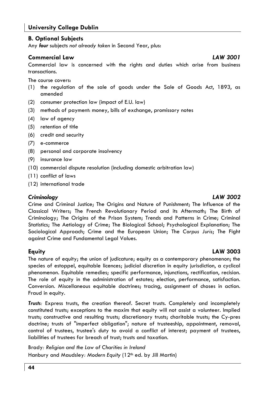### **B. Optional Subjects**

Any *four* subjects *not already taken* in Second Year, plus:

### **Commercial Law** *LAW 3001*

Commercial law is concerned with the rights and duties which arise from business transactions.

The course covers:

- (1) the regulation of the sale of goods under the Sale of Goods Act, 1893, as amended
- (2) consumer protection law (impact of E.U. law)
- (3) methods of payment: money, bills of exchange, promissory notes
- (4) law of agency
- (5) retention of title
- (6) credit and security
- (7) e-commerce
- (8) personal and corporate insolvency
- (9) insurance law
- (10) commercial dispute resolution (including domestic arbitration law)
- (11) conflict of laws
- (12) international trade

### *Criminology LAW 3002*

Crime and Criminal Justice; The Origins and Nature of Punishment; The Influence of the Classical Writers; The French Revolutionary Period and its Aftermath; The Birth of Criminology; The Origins of the Prison System; Trends and Patterns in Crime; Criminal Statistics; The Aetiology of Crime; The Biological School; Psychological Explanation; The Sociological Approach; Crime and the European Union; The *Corpus Juris*; The Fight against Crime and Fundamental Legal Values.

### **Equity LAW 3003**

The nature of equity; the union of judicature; equity as a contemporary phenomenon; the species of estoppel, equitable licences; judicial discretion in equity jurisdiction, a cyclical phenomenon. Equitable remedies; specific performance, injunctions, rectification, recision. The role of equity in the administration of estates; election, performance, satisfaction. Conversion. Miscellaneous equitable doctrines; tracing, assignment of choses in action. Fraud in equity.

*Trusts:* Express trusts, the creation thereof. Secret trusts. Completely and incompletely constituted trusts; exceptions to the maxim that equity will not assist a volunteer. Implied trusts; constructive and resulting trusts; discretionary trusts; charitable trusts; the Cy-pres doctrine; trusts of "imperfect obligation"; nature of trusteeship, appointment, removal, control of trustees, trustee's duty to avoid a conflict of interest; payment of trustees, liabilities of trustees for breach of trust; trusts and taxation.

Brady*: Religion and the Law of Charities in Ireland*  Hanbury and Maudsley*: Modern Equity* (12th ed. by Jill Martin)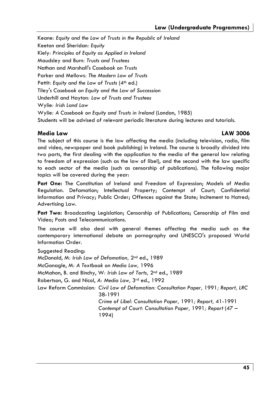Keane*: Equity and the Law of Trusts in the Republic of Ireland*  Keeton and Sheridan*: Equity*  Kiely*: Principles of Equity as Applied in Ireland* Maudsley and Burn*: Trusts and Trustees*  Nathan and Marshall's *Casebook on Trusts*  Parker and Mellows*: The Modern Law of Trusts*  Pettit: Equity and the Law of Trusts (4<sup>th</sup> ed.) Tiley's *Casebook on Equity and the Law of Succession*  Underhill and Hayton*: Law of Trusts and Trustees*  Wylie*: Irish Land Law*  Wylie*: A Casebook on Equity and Trusts in Ireland* (London, 1985) Students will be advised of relevant periodic literature during lectures and tutorials.

### **Media Law LAW 3006**

The subject of this course is the law affecting the media (including television, radio, film and video, newspaper and book publishing) in Ireland. The course is broadly divided into two parts, the first dealing with the application to the media of the general law relating to freedom of expression (such as the law of libel), and the second with the law specific to each sector of the media (such as censorship of publications). The following major topics will be covered during the year:

**Part One:** The Constitution of Ireland and Freedom of Expression; Models of Media Regulation. Defamation; Intellectual Property; Contempt of Court; Confidential Information and Privacy; Public Order; Offences against the State; Incitement to Hatred; Advertising Law.

Part Two: Broadcasting Legislation; Censorship of Publications; Censorship of Film and Video; Posts and Telecommunications.

The course will also deal with general themes affecting the media such as the contemporary international debate on pornography and UNESCO's proposed World Information Order.

Suggested Reading: McDonald, M*: Irish Law of Defamation,* 2nd ed., 1989 McGonagle, M*: A Textbook on Media Law,* 1996 McMahon, B. and Binchy, W*: Irish Law of Torts,* 2nd ed., 1989 Robertson, G. and Nicol, *A: Media Law,* 3rd ed., 1992 Law Reform Commission*: Civil Law of Defamation: Consultation Paper,* 1991*; Report, LRC*  38-1991 *Crime of Libel: Consultation Paper,* 1991*; Report,* 41-1991 *Contempt of Court: Consultation Paper,* 1991*; Report* (47 – 1994)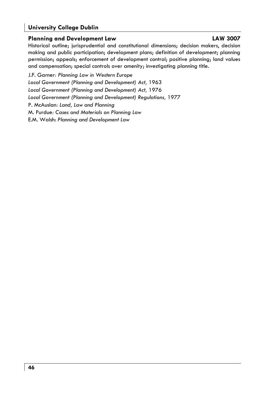### **Planning and Development Law Community Community CAW 3007**

Historical outline; jurisprudential and constitutional dimensions; decision makers, decision making and public participation; development plans; definition of development; planning permission; appeals; enforcement of development control; positive planning; land values and compensation; special controls over amenity; investigating planning title.

J.F. Garner*: Planning Law in Western Europe Local Government (Planning and Development) Act,* 1963 *Local Government (Planning and Development) Act,* 1976 Local Government (Planning and Development) Regulations, 1977 P. McAuslan*: Land, Law and Planning*  M. Purdue*: Cases and Materials on Planning Law*  E.M. Walsh: *Planning and Development Law*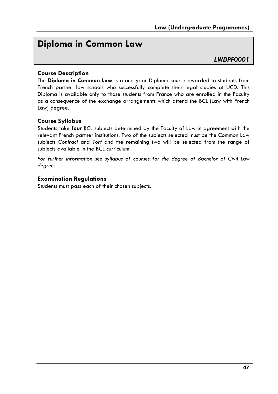## **Diploma in Common Law**

### *LWDPF0001*

### **Course Description**

The **Diploma in Common Law** is a one-year Diploma course awarded to students from French partner law schools who successfully complete their legal studies at UCD. This Diploma is available only to those students from France who are enrolled in the Faculty as a consequence of the exchange arrangements which attend the BCL (Law with French Law) degree.

### **Course Syllabus**

Students take **four** BCL subjects determined by the Faculty of Law in agreement with the relevant French partner institutions. Two of the subjects selected must be the Common Law subjects *Contract* and *Tort* and the remaining two will be selected from the range of subjects available in the BCL curriculum.

*For further information see syllabus of courses for the degree of Bachelor of Civil Law degree*.

### **Examination Regulations**

Students must pass each of their chosen subjects.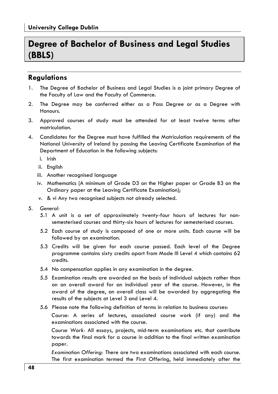## **Degree of Bachelor of Business and Legal Studies (BBLS)**

## **Regulations**

- 1. The Degree of Bachelor of Business and Legal Studies is a joint primary Degree of the Faculty of Law and the Faculty of Commerce.
- 2. The Degree may be conferred either as a Pass Degree or as a Degree with Honours.
- 3. Approved courses of study must be attended for at least twelve terms after matriculation.
- 4. Candidates for the Degree must have fulfilled the Matriculation requirements of the National University of Ireland by passing the Leaving Certificate Examination of the Department of Education in the following subjects:
	- i. Irish
	- ii. English
	- iii. Another recognised language
	- iv. Mathematics (A minimum of Grade D3 on the Higher paper or Grade B3 on the Ordinary paper at the Leaving Certificate Examination);
	- v. & vi Any two recognised subjects not already selected.
- 5. *General:*
	- 5.1 A unit is a set of approximately twenty-four hours of lectures for nonsemesterised courses and thirty-six hours of lectures for semesterised courses.
	- 5.2 Each course of study is composed of one or more units. Each course will be followed by an examination.
	- 5.3 Credits will be given for each course passed. Each level of the Degree programme contains sixty credits apart from Mode III Level 4 which contains 62 credits.
	- 5.4 No compensation applies in any examination in the degree.
	- 5.5 Examination results are awarded on the basis of individual subjects rather than on an overall award for an individual year of the course. However, in the award of the degree, an overall class will be awarded by aggregating the results of the subjects at Level 3 and Level 4.
	- 5.6 Please note the following definition of terms in relation to business courses:

 *Course:* A series of lectures, associated course work (if any) and the examinations associated with the course.

 *Course Work:* All essays, projects, mid-term examinations etc. that contribute towards the final mark for a course in addition to the final written examination paper.

 *Examination Offering:* There are two examinations associated with each course. The first examination termed the First Offering, held immediately after the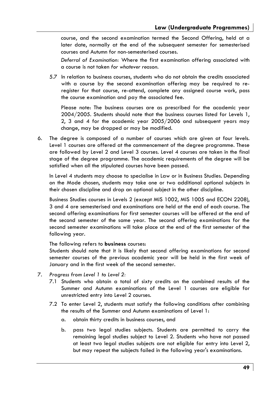course, and the second examination termed the Second Offering, held at a later date, normally at the end of the subsequent semester for semesterised courses and Autumn for non-semesterised courses.

 *Deferral of Examination:* Where the first examination offering associated with a course is not taken *for whatever reason.* 

5.7 In relation to business courses, students who do not obtain the credits associated with a course by the second examination offering may be required to reregister for that course, re-attend, complete any assigned course work, pass the course examination and pay the associated fee.

Please note: The business courses are as prescribed for the academic year 2004/2005. Students should note that the business courses listed for Levels 1, 2, 3 and 4 for the academic year 2005/2006 and subsequent years may change, may be dropped or may be modified.

6. The degree is composed of a number of courses which are given at four levels. Level 1 courses are offered at the commencement of the degree programme. These are followed by Level 2 and Level 3 courses. Level 4 courses are taken in the final stage of the degree programme. The academic requirements of the degree will be satisfied when all the stipulated courses have been passed.

 In Level 4 students may choose to specialise in Law or in Business Studies. Depending on the Mode chosen, students may take one or two additional optional subjects in their chosen discipline and drop an optional subject in the other discipline.

 Business Studies courses in Levels 2 (except MIS 1002, MIS 1005 and ECON 2208), 3 and 4 are semesterised and examinations are held at the end of each course. The second offering examinations for first semester courses will be offered at the end of the second semester of the same year. The second offering examinations for the second semester examinations will take place at the end of the first semester of the following year.

The following refers to **business** courses:

 Students should note that it is likely that second offering examinations for second semester courses of the previous academic year will be held in the first week of January and in the first week of the second semester.

- 7. *Progress from Level 1 to Level 2:*
	- 7.1 Students who obtain a total of sixty credits on the combined results of the Summer and Autumn examinations of the Level 1 courses are eligible for unrestricted entry into Level 2 courses.
	- 7.2 To enter Level 2, students must satisfy the following conditions after combining the results of the Summer and Autumn examinations of Level 1:
		- a. obtain thirty credits in business courses, and
		- b. pass two legal studies subjects. Students are permitted to carry the remaining legal studies subject to Level 2. Students who have not passed at least two legal studies subjects are not eligible for entry into Level 2, but may repeat the subjects failed in the following year's examinations.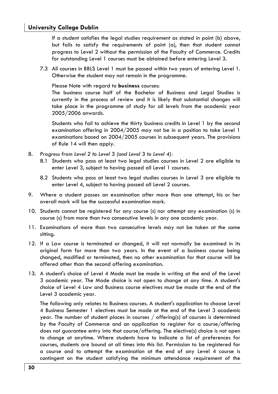If a student satisfies the legal studies requirement as stated in point (b) above, but fails to satisfy the requirements of point (a), then that student cannot progress to Level 2 without the permission of the Faculty of Commerce. Credits for outstanding Level 1 courses must be obtained before entering Level 3.

7.3 All courses in BBLS Level 1 must be passed within two years of entering Level 1. Otherwise the student may not remain in the programme.

Please Note with regard to **business** courses:

The business course half of the Bachelor of Business and Legal Studies is currently in the process of review and it is likely that substantial changes will take place in the programme of study for all levels from the academic year 2005/2006 onwards.

Students who fail to achieve the thirty business credits in Level 1 by the second examination offering in 2004/2005 may not be in a position to take Level 1 examinations based on 2004/2005 courses in subsequent years. The provisions of Rule 14 will then apply.

- 8. *Progress from Level 2 to Level 3 (and Level 3 to Level 4):*
	- 8.1 Students who pass at least two legal studies courses in Level 2 are eligible to enter Level 3, subject to having passed all Level 1 courses.
	- 8.2 Students who pass at least two legal studies courses in Level 3 are eligible to enter Level 4, subject to having passed all Level 2 courses.
- 9. Where a student passes an examination after more than one attempt, his or her overall mark will be the successful examination mark.
- 10. Students cannot be registered for any course (s) nor attempt any examination (s) in course (s) from more than two consecutive levels in any one academic year.
- 11. Examinations of more than two consecutive levels may not be taken at the same sitting.
- 12. If a Law course is terminated or changed, it will not normally be examined in its original form for more than two years. In the event of a business course being changed, modified or terminated, then no other examination for that course will be offered other than the second offering examination.
- 13. A student's choice of Level 4 Mode must be made in writing at the end of the Level 3 academic year. The Mode choice is not open to change at any time. A student's choice of Level 4 Law and Business course electives must be made at the end of the Level 3 academic year.

The following only relates to Business courses. A student's application to choose Level 4 Business Semester 1 electives must be made at the end of the Level 3 academic year. The number of student places in courses / offering(s) of courses is determined by the Faculty of Commerce and an application to register for a course/offering does not guarantee entry into that course/offering. The elective(s) choice is not open to change at anytime. Where students have to indicate a list of preferences for courses, students are bound at all times into this list. Permission to be registered for a course and to attempt the examination at the end of any Level 4 course is contingent on the student satisfying the minimum attendance requirement of the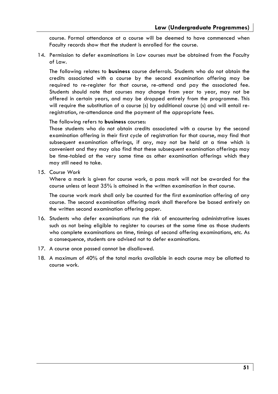course. Formal attendance at a course will be deemed to have commenced when Faculty records show that the student is enrolled for the course.

14. Permission to defer examinations in Law courses must be obtained from the Faculty of Law.

 The following relates to **business** course deferrals. Students who do not obtain the credits associated with a course by the second examination offering may be required to re-register for that course, re-attend and pay the associated fee. Students should note that courses may change from year to year, may not be offered in certain years, and may be dropped entirely from the programme. This will require the substitution of a course (s) by additional course (s) and will entail reregistration, re-attendance and the payment of the appropriate fees.

### The following refers to **business** courses:

Those students who do not obtain credits associated with a course by the second examination offering in their first cycle of registration for that course, may find that subsequent examination offerings, if any, may not be held at a time which is convenient and they may also find that these subsequent examination offerings may be time-tabled at the very same time as other examination offerings which they may still need to take.

15. C*ourse Work*

Where a mark is given for course work, a pass mark will not be awarded for the course unless at least 35% is attained in the written examination in that course.

The course work mark shall only be counted for the first examination offering of any course. The second examination offering mark shall therefore be based entirely on the written second examination offering paper.

- 16. Students who defer examinations run the risk of encountering administrative issues such as not being eligible to register to courses at the same time as those students who complete examinations on time, timings of second offering examinations, etc. As a consequence, students are advised not to defer examinations.
- 17. A course once passed cannot be disallowed.
- 18. A maximum of 40% of the total marks available in each course may be allotted to course work.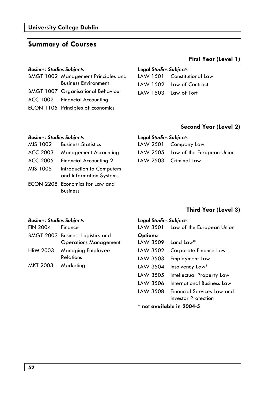## **Summary of Courses**

### *Business Studies Subjects Legal Studies Subjects*

| <b>BMGT 1002 Management Principles and</b> |  |
|--------------------------------------------|--|
| <b>Business Environment</b>                |  |
| <b>BMGT 1007 Organisational Behaviour</b>  |  |
| ACC 1002 Financial Accounting              |  |
| ECON 1105 Principles of Economics          |  |

Business

| LAW 1501 Constitutional Law |
|-----------------------------|
| LAW 1502 Law of Contract    |
| LAW 1503 Law of Tort        |

### **Second Year (Level 2)**

**First Year (Level 1)** 

| <b>Business Studies Subjects</b> |                                                      |          | <b>Legal Studies Subjects</b>      |  |  |
|----------------------------------|------------------------------------------------------|----------|------------------------------------|--|--|
| MIS 1002                         | <b>Business Statistics</b>                           | LAW 2501 | Company Law                        |  |  |
| ACC 2003                         | <b>Management Accounting</b>                         |          | LAW 2505 Law of the European Union |  |  |
| ACC 2005                         | <b>Financial Accounting 2</b>                        | LAW 2503 | Criminal Law                       |  |  |
| MIS 1005                         | Introduction to Computers<br>and Information Systems |          |                                    |  |  |
|                                  | ECON 2208 Economics for Law and                      |          |                                    |  |  |

### **Third Year (Level 3)**

| <b>Business Studies Subjects</b><br><b>FIN 2004</b> | Finance                                                                 | <b>Legal Studies Subjects</b><br>LAW 3501 | Law of the European Union                                       |
|-----------------------------------------------------|-------------------------------------------------------------------------|-------------------------------------------|-----------------------------------------------------------------|
|                                                     | <b>BMGT 2003 Business Logistics and</b><br><b>Operations Management</b> | Options:<br><b>IAW 3509</b>               | Land Law*                                                       |
| <b>HRM 2003</b>                                     | <b>Managing Employee</b><br><b>Relations</b>                            | LAW 3502                                  | Corporate Finance Law                                           |
|                                                     |                                                                         | LAW 3503                                  | Employment Law                                                  |
| MKT 2003                                            | Marketing                                                               | LAW 3504                                  | Insolvency Law*                                                 |
|                                                     |                                                                         | LAW 3505                                  | Intellectual Property Law                                       |
|                                                     |                                                                         | LAW 3506                                  | International Business Law                                      |
|                                                     |                                                                         | LAW 3508                                  | <b>Financial Services Law and</b><br><b>Investor Protection</b> |
|                                                     |                                                                         | $*$ not available in 2004-5               |                                                                 |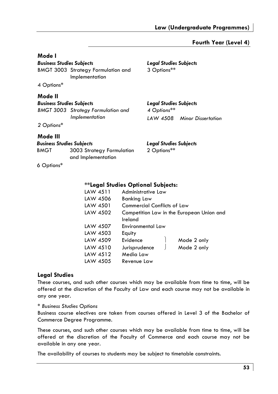### **Fourth Year (Level 4)**

### **Mode I**

*Business Studies Subjects Legal Studies Subjects*  BMGT 3003 Strategy Formulation and Implementation

4 Options\*

### **Mode II**

| <b>Business Studies Subjects</b> |                                                             |  |
|----------------------------------|-------------------------------------------------------------|--|
|                                  | <b>BMGT 3003</b> Strategy Formulation and<br>Implementation |  |
|                                  |                                                             |  |

*2 Options\** 

### **Mode III**

|                          | <b>Business Studies Subjects</b> | Leg |
|--------------------------|----------------------------------|-----|
| <b>BMGT</b>              | 3003 Strategy Formulation        | 2 C |
|                          | and Implementation               |     |
| $\overline{\phantom{a}}$ |                                  |     |

6 Options\*

# 3 Options\*\*

## *Business Studies Subjects Legal Studies Subjects*

*4 Options\*\* LAW 4508 Minor Dissertation* 

### *Business Studies Subjects Legal Studies Subjects*

 $^*$ btions $^{**}$ 

### **\*\*Legal Studies Optional Subjects:**

| LAW 4511 | Administrative Law          |                                           |
|----------|-----------------------------|-------------------------------------------|
| LAW 4506 | <b>Banking Law</b>          |                                           |
| LAW 4501 | Commercial Conflicts of Law |                                           |
| LAW 4502 |                             | Competition Law in the European Union and |
|          | Ireland                     |                                           |
| LAW 4507 | Environmental Law           |                                           |
| LAW 4503 | Equity                      |                                           |
| LAW 4509 | Evidence                    | Mode 2 only                               |
| LAW 4510 | Jurisprudence               | Mode 2 only                               |
| LAW 4512 | Media Law                   |                                           |
| LAW 4505 | Revenue Law                 |                                           |

### **Legal Studies**

These courses, and such other courses which may be available from time to time, will be offered at the discretion of the Faculty of Law and each course may not be available in any one year.

### *\* Business Studies Options*

Business course electives are taken from courses offered in Level 3 of the Bachelor of Commerce Degree Programme.

These courses, and such other courses which may be available from time to time, will be offered at the discretion of the Faculty of Commerce and each course may not be available in any one year.

The availability of courses to students may be subject to timetable constraints.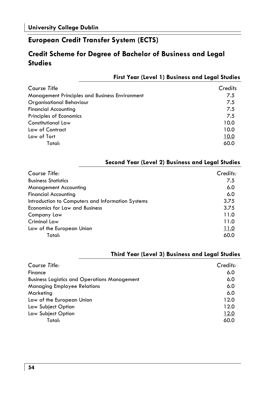## **European Credit Transfer System (ECTS)**

## **Credit Scheme for Degree of Bachelor of Business and Legal Studies**

| <b>First Year (Level 1) Business and Legal Studies</b> |         |
|--------------------------------------------------------|---------|
| Course Title                                           | Credits |
| Management Principles and Business Environment         | 7.5     |
| Organisational Behaviour                               | 7.5     |
| Financial Accounting                                   | 7.5     |
| Principles of Economics                                | 7.5     |
| Constitutional Law                                     | 10.0    |
| Law of Contract                                        | 10.0    |
| Law of Tort                                            | 10.0    |
| Total:                                                 | 60.0    |

### **Second Year (Level 2) Business and Legal Studies**

| Course Title:                                     | Credits: |
|---------------------------------------------------|----------|
| <b>Business Statistics</b>                        | 7.5      |
| <b>Management Accounting</b>                      | 6.0      |
| <b>Financial Accounting</b>                       | 6.0      |
| Introduction to Computers and Information Systems | 3.75     |
| <b>Economics for Law and Business</b>             | 3.75     |
| Company Law                                       | 11.0     |
| <b>Criminal Law</b>                               | 11.0     |
| Law of the European Union                         | 11.0     |
| Total:                                            | 60.0     |

### **Third Year (Level 3) Business and Legal Studies**

| Course Title:                                       | Credits: |
|-----------------------------------------------------|----------|
| Finance                                             | 6.0      |
| <b>Business Logistics and Operations Management</b> | 6.0      |
| <b>Managing Employee Relations</b>                  | 6.0      |
| Marketing                                           | 6.0      |
| Law of the European Union                           | 12.0     |
| Law Subject Option                                  | 12.0     |
| Law Subject Option                                  | 12.0     |
| Total:                                              | 60.0     |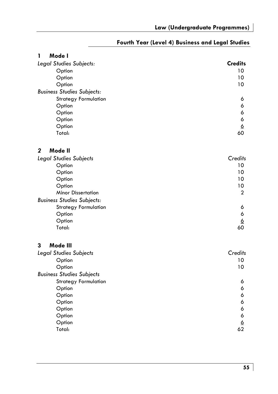| 1<br>Mode I                       |                |
|-----------------------------------|----------------|
| Legal Studies Subjects:           | <b>Credits</b> |
| Option                            | 10             |
| Option                            | 10             |
| Option                            | 10             |
| <b>Business Studies Subjects:</b> |                |
| <b>Strategy Formulation</b>       | 6              |
| Option                            | 6              |
| Option                            | 6              |
| Option                            | 6              |
| Option                            | $\overline{6}$ |
| Total:                            | 60             |
| $\mathbf{2}$<br>Mode II           |                |
| Legal Studies Subjects            | Credits        |
| Option                            | 10             |
| Option                            | 10             |
| Option                            | 10             |
| Option                            | 10             |
| <b>Minor Dissertation</b>         | 2              |
| <b>Business Studies Subjects:</b> |                |
| <b>Strategy Formulation</b>       | 6              |
| Option                            | 6              |
| Option                            | <u>6</u>       |
| Total:                            | 60             |
| 3<br>Mode III                     |                |
| Legal Studies Subjects            | Credits        |
| Option                            | 10             |
| Option                            | 10             |
| <b>Business Studies Subjects</b>  |                |
| <b>Strategy Formulation</b>       | 6              |
| Option                            | 6              |
| Option                            | 6              |
| Option                            | 6              |
| Option                            | 6<br>6         |
| Option                            |                |
| Option<br>Total:                  | <u>6</u><br>62 |
|                                   |                |

### **Fourth Year (Level 4) Business and Legal Studies**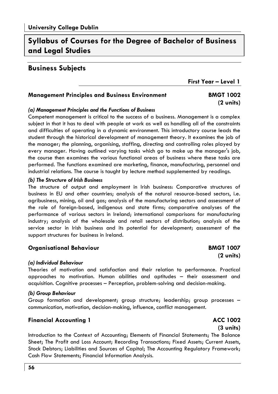## **Syllabus of Courses for the Degree of Bachelor of Business and Legal Studies**

### **Business Subjects**

**First Year – Level 1** 

### **Management Principles and Business Environment BMGT 1002**

# **(2 units)**

### *(a) Management Principles and the Functions of Business*

Competent management is critical to the success of a business. Management is a complex subject in that it has to deal with people at work as well as handling all of the constraints and difficulties of operating in a dynamic environment. This introductory course leads the student through the historical development of management theory. It examines the job of the manager; the planning, organising, staffing, directing and controlling roles played by every manager. Having outlined varying tasks which go to make up the manager's job, the course then examines the various functional areas of business where these tasks are performed. The functions examined are marketing, finance, manufacturing, personnel and industrial relations. The course is taught by lecture method supplemented by readings.

### *(b) The Structure of Irish Business*

The structure of output and employment in Irish business: Comparative structures of business in EU and other countries; analysis of the natural resource-based sectors, i.e. agribusiness, mining, oil and gas; analysis of the manufacturing sectors and assessment of the role of foreign-based, indigenous and state firms; comparative analyses of the performance of various sectors in Ireland; international comparisons for manufacturing industry; analysis of the wholesale and retail sectors of distribution; analysis of the service sector in Irish business and its potential for development; assessment of the support structures for business in Ireland.

### **Organisational Behaviour BMGT 1007**

### *(a) Individual Behaviour*

Theories of motivation and satisfaction and their relation to performance. Practical approaches to motivation. Human abilities and aptitudes – their assessment and acquisition. Cognitive processes – Perception, problem-solving and decision-making.

### *(b) Group Behaviour*

Group formation and development; group structure; leadership; group processes – communication, motivation, decision-making, influence, conflict management.

### **Financial Accounting 1** ACC 1002

 **(3 units)**  Introduction to the Context of Accounting; Elements of Financial Statements; The Balance Sheet; The Profit and Loss Account; Recording Transactions; Fixed Assets; Current Assets, Stock Debtors; Liabilities and Sources of Capital; The Accounting Regulatory Framework; Cash Flow Statements; Financial Information Analysis.

 **(2 units)**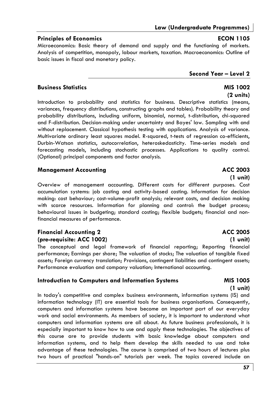## **Law (Undergraduate Programmes)**

### **Principles of Economics ECON 1105**

Microeconomics: Basic theory of demand and supply and the functioning of markets. Analysis of competition, monopoly, labour markets, taxation. Macroeconomics: Outline of basic issues in fiscal and monetary policy.

### **Business Statistics MIS 1002**

 **(2 units)**  Introduction to probability and statistics for business. Descriptive statistics (means, variances, frequency distributions, constructing graphs and tables). Probability theory and probability distributions, including uniform, binomial, normal, t-distribution, chi-squared and F-distribution. Decision-making under uncertainty and Bayes' law. Sampling with and without replacement. Classical hypothesis testing with applications. Analysis of variance. Multivariate ordinary least squares model. R-squared, t-tests of regression co-efficients, Durbin-Watson statistics, autocorrelation, heteroskedasticity. Time-series models and forecasting models, including stochastic processes. Applications to quality control. (Optional) principal components and factor analysis.

### **Management Accounting Community Community ACC 2003**

 **(1 unit)**  Overview of management accounting. Different costs for different purposes. Cost accumulation systems: job costing and activity-based costing. Information for decision making: cost behaviour; cost-volume-profit analysis; relevant costs, and decision making with scarce resources. Information for planning and control: the budget process; behavioural issues in budgeting; standard costing; flexible budgets; financial and nonfinancial measures of performance.

### **Financial Accounting 2** ACC 2005 **(pre-requisite: ACC 1002) (1 unit)**

The conceptual and legal framework of financial reporting; Reporting financial performance; Earnings per share; The valuation of stocks; The valuation of tangible fixed assets; Foreign currency translation; Provisions, contingent liabilities and contingent assets; Performance evaluation and company valuation; International accounting.

### **Introduction to Computers and Information Systems MIS 1005**

 **(1 unit)**  In today's competitive and complex business environments, information systems (IS) and information technology (IT) are essential tools for business organisations. Consequently, computers and information systems have become an important part of our everyday work and social environments. As members of society, it is important to understand what computers and information systems are all about. As future business professionals, it is especially important to know how to use and apply these technologies. The objectives of this course are to provide students with basic knowledge about computers and information systems, and to help them develop the skills needed to use and take advantage of these technologies. The course is comprised of two hours of lectures plus two hours of practical "hands-on" tutorials per week. The topics covered include an

### **Second Year – Level 2**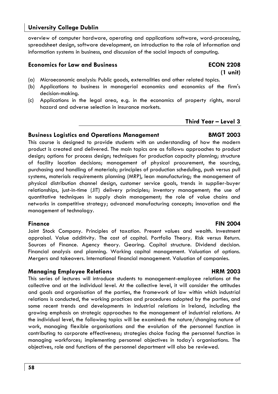overview of computer hardware, operating and applications software, word-processing, spreadsheet design, software development, an introduction to the role of information and information systems in business, and discussion of the social impacts of computing.

### **Economics for Law and Business ECON 2208**

- (a) Microeconomic analysis: Public goods, externalities and other related topics.
- (b) Applications to business in managerial economics and economics of the firm's decision-making.

 **(1 unit)** 

(c) Applications in the legal area, e.g. in the economics of property rights, moral hazard and adverse selection in insurance markets.

### **Third Year – Level 3**

### **Business Logistics and Operations Management BMGT 2003**

This course is designed to provide students with an understanding of how the modern product is created and delivered. The main topics are as follows: approaches to product design; options for process design; techniques for production capacity planning; structure of facility location decisions; management of physical procurement, the sourcing, purchasing and handling of materials; principles of production scheduling, push versus pull systems, materials requirements planning (MRP), lean manufacturing; the management of physical distribution channel design, customer service goals, trends in supplier-buyer relationships, just-in-time (JIT) delivery principles; inventory management; the use of quantitative techniques in supply chain management; the role of value chains and networks in competitive strategy; advanced manufacturing concepts; innovation and the management of technology.

Joint Stock Company. Principles of taxation. Present values and wealth. Investment appraisal. Value additivity. The cost of capital. Portfolio Theory. Risk versus Return. Sources of Finance. Agency theory. Gearing. Capital structure. Dividend decision. Financial analysis and planning. Working capital management. Valuation of options. Mergers and takeovers. International financial management. Valuation of companies.

### **Managing Employee Relations HRM 2003**

This series of lectures will introduce students to management-employee relations at the collective and at the individual level. At the collective level, it will consider the attitudes and goals and organisation of the parties, the framework of law within which industrial relations is conducted, the working practices and procedures adopted by the parties, and some recent trends and developments in industrial relations in Ireland, including the growing emphasis on strategic approaches to the management of industrial relations. At the individual level, the following topics will be examined: the nature/changing nature of work, managing flexible organisations and the evolution of the personnel function in contributing to corporate effectiveness; strategies choice facing the personnel function in managing workforces; implementing personnel objectives in today's organisations. The objectives, role and functions of the personnel department will also be reviewed.

### **Finance FIN 2004**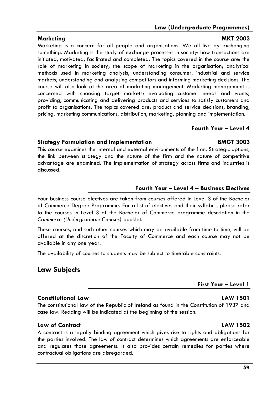### **Law (Undergraduate Programmes)**

### Marketing MKT 2003

Marketing is a concern for all people and organisations. We all live by exchanging something. Marketing is the study of exchange processes in society: how transactions are initiated, motivated, facilitated and completed. The topics covered in the course are: the role of marketing in society; the scope of marketing in the organisation; analytical methods used in marketing analysis; understanding consumer, industrial and service markets; understanding and analysing competitors and informing marketing decisions. The course will also look at the area of marketing management. Marketing management is concerned with choosing target markets; evaluating customer needs and wants; providing, communicating and delivering products and services to satisfy customers and profit to organisations. The topics covered are: product and service decisions, branding, pricing, marketing communications, distribution, marketing, planning and implementation.

### **Fourth Year – Level 4**

### **Strategy Formulation and Implementation BMGT 3003**

This course examines the internal and external environments of the firm. Strategic options, the link between strategy and the nature of the firm and the nature of competitive advantage are examined. The implementation of strategy across firms and industries is discussed.

### **Fourth Year – Level 4 – Business Electives**

Four business course electives are taken from courses offered in Level 3 of the Bachelor of Commerce Degree Programme. For a list of electives and their syllabus, please refer to the courses in Level 3 of the Bachelor of Commerce programme description in the *Commerce (Undergraduate Courses)* booklet.

These courses, and such other courses which may be available from time to time, will be offered at the discretion of the Faculty of Commerce and each course may not be available in any one year.

The availability of courses to students may be subject to timetable constraints.

## **Law Subjects**

### **Constitutional Law LAW 1501**

The constitutional law of the Republic of Ireland as found in the Constitution of 1937 and case law. Reading will be indicated at the beginning of the session.

### **Law of Contract LAW 1502**

A contract is a legally binding agreement which gives rise to rights and obligations for the parties involved. The law of contract determines which agreements are enforceable and regulates those agreements. It also provides certain remedies for parties where contractual obligations are disregarded.

**First Year – Level 1**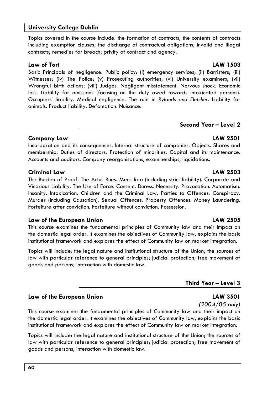Topics covered in the course include: the formation of contracts; the contents of contracts including exemption clauses; the discharge of contractual obligations; invalid and illegal contracts; remedies for breach; privity of contract and agency.

**Law of Tort LAW 1503**  Basic Principals of negligence. Public policy: (i) emergency services; (ii) Barristers; (iii) Witnesses; (iv) The Police; (v) Prosecuting authorities; (vi) University examiners; (vii) Wrongful birth actions; (viii) Judges. Negligent misstatement. Nervous shock. Economic loss. Liability for omissions (focusing on the duty owed towards intoxicated persons). Occupiers' liability. Medical negligence. The rule in *Rylands and Fletcher*. Liability for animals. Product liability. Defamation. Nuisance.

### **Second Year – Level 2**

### **Company Law LAW 2501**

Incorporation and its consequences. Internal structure of companies. Objects. Shares and membership. Duties of directors. Protection of minorities. Capital and its maintenance. Accounts and auditors. Company reorganisations, examinerships, liquidations.

### **Criminal Law LAW 2503**

The Burden of Proof. The Actus Rues. Mens Rea (including strict liability). Corporate and Vicarious Liability. The Use of Force. Consent. Duress. Necessity. Provocation. Automatism. Insanity. Intoxication. Children and the Criminal Law. Parties to Offences. Conspiracy. Murder (including Causation). Sexual Offences. Property Offences. Money Laundering. Forfeiture after conviction. Forfeiture without conviction. Possession.

### **Law of the European Union LAW 2505**

This course examines the fundamental principles of Community law and their impact on the domestic legal order. It examines the objectives of Community law, explains the basic institutional framework and explores the effect of Community law on market integration.

Topics will include: the legal nature and institutional structure of the Union; the sources of law with particular reference to general principles; judicial protection; free movement of goods and persons; interaction with domestic law.

## **Third Year – Level 3**

## Law of the European Union **LAW 3501**

*(2004/05 only)* 

This course examines the fundamental principles of Community law and their impact on the domestic legal order. It examines the objectives of Community law, explains the basic institutional framework and explores the effect of Community law on market integration.

Topics will include: the legal nature and institutional structure of the Union; the sources of law with particular reference to general principles; judicial protection; free movement of goods and persons; interaction with domestic law.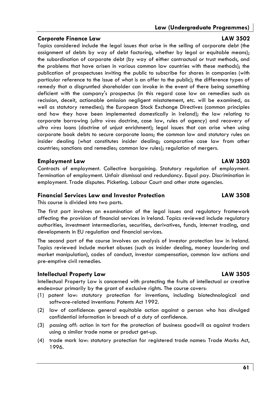## **Law (Undergraduate Programmes)**

### **Corporate Finance Law LAW 3502**

Topics considered include the legal issues that arise in the selling of corporate debt (the assignment of debts by way of debt factoring, whether by legal or equitable means); the subordination of corporate debt (by way of either contractual or trust methods, and the problems that have arisen in various common law countries with these methods); the publication of prospectuses inviting the public to subscribe for shares in companies (with particular reference to the issue of what is an offer to the public); the difference types of remedy that a disgruntled shareholder can invoke in the event of there being something deficient with the company's prospectus (in this regard case law on remedies such as recission, deceit, actionable omission negligent misstatement, etc. will be examined, as well as statutory remedies); the European Stock Exchange Directives (common principles and how they have been implemented domestically in Ireland); the law relating to corporate borrowing (*ultra vires* doctrine, case law, rules of agency) and recovery *of ultra vires* loans (doctrine of unjust enrichment); legal issues that can arise when using corporate book debts to secure corporate loans; the common law and statutory rules on insider dealing (what constitutes insider dealing; comparative case law from other countries; sanctions and remedies; common law rules); regulation of mergers.

### **Employment Law LAW 3503**

Contracts of employment. Collective bargaining. Statutory regulation of employment. Termination of employment. Unfair dismissal and redundancy. Equal pay. Discrimination in employment. Trade disputes. Picketing. Labour Court and other state agencies.

### **Financial Services Law and Investor Protection LAW 3508**

This course is divided into two parts.

The first part involves an examination of the legal issues and regulatory framework affecting the provision of financial services in Ireland. Topics reviewed include regulatory authorities, investment intermediaries, securities, derivatives, funds, internet trading, and developments in EU regulation and financial services.

The second part of the course involves an analysis of investor protection law in Ireland. Topics reviewed include market abuses (such as insider dealing, money laundering and market manipulation), codes of conduct, investor compensation, common law actions and pre-emptive civil remedies.

### **Intellectual Property Law LAW 3505**

Intellectual Property Law is concerned with protecting the fruits of intellectual or creative endeavour primarily by the grant of exclusive rights. The course covers:

- (1) patent law: statutory protection for inventions, including biotechnological and software-related inventions: Patents Act 1992.
- (2) law of confidence: general equitable action against a person who has divulged confidential information in breach of a duty of confidence.
- (3) passing off: action in tort for the protection of business goodwill as against traders using a similar trade name or product get-up.
- (4) trade mark law: statutory protection for registered trade names: Trade Marks Act, 1996.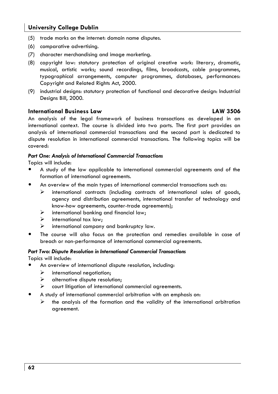- (5) trade marks on the internet: domain name disputes.
- (6) comparative advertising.
- (7) character merchandising and image marketing.
- (8) copyright law: statutory protection of original creative work: literary, dramatic, musical, artistic works; sound recordings, films, broadcasts, cable programmes, typographical arrangements, computer programmes, databases, performances: Copyright and Related Rights Act, 2000.
- (9) industrial designs: statutory protection of functional and decorative design: Industrial Designs Bill, 2000.

### **International Business Law LAW 3506**

An analysis of the legal framework of business transactions as developed in an international context. The course is divided into two parts. The first part provides an analysis of international commercial transactions and the second part is dedicated to dispute resolution in international commercial transactions. The following topics will be covered:

### *Part One: Analysis of International Commercial Transactions*

Topics will include:

- A study of the law applicable to international commercial agreements and of the formation of international agreements.
- An overview of the main types of international commercial transactions such as:
	- $\triangleright$  international contracts (including contracts of international sales of goods, agency and distribution agreements, international transfer of technology and know-how agreements, counter-trade agreements);
	- $\triangleright$  international banking and financial law;
	- $\triangleright$  international tax law:
	- $\triangleright$  international company and bankruptcy law.
- The course will also focus on the protection and remedies available in case of breach or non-performance of international commercial agreements.

### *Part Two: Dispute Resolution in International Commercial Transactions*

Topics will include:

- An overview of international dispute resolution, including:
	- $\triangleright$  international negotiation;
	- $\triangleright$  alternative dispute resolution:
	- $\triangleright$  court litigation of international commercial agreements.
- A study of international commercial arbitration with an emphasis on:
	- $\triangleright$  the analysis of the formation and the validity of the international arbitration agreement.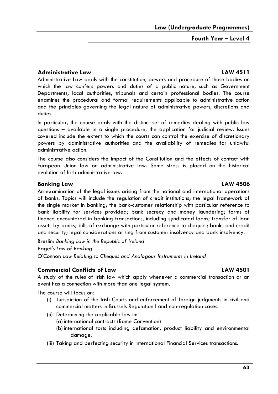**Fourth Year – Level 4** 

### **Administrative Law LAW 4511**

Administrative Law deals with the constitution, powers and procedure of those bodies on which the law confers powers and duties of a public nature, such as Government Departments, local authorities, tribunals and certain professional bodies. The course examines the procedural and formal requirements applicable to administrative action and the principles governing the legal nature of administrative powers, discretions and duties.

In particular, the course deals with the distinct set of remedies dealing with public law questions – available in a single procedure, the application for judicial review. Issues covered include the extent to which the courts can control the exercise of discretionary powers by administrative authorities and the availability of remedies for unlawful administrative action.

The course also considers the impact of the Constitution and the effects of contact with European Union law on administrative law. Some stress is placed on the historical evolution of Irish administrative law.

### **Banking Law LAW 4506**

An examination of the legal issues arising from the national and international operations of banks. Topics will include the regulation of credit institutions; the legal framework of the single market in banking; the bank-customer relationship with particular reference to bank liability for services provided; bank secrecy and money laundering; forms of finance encountered in banking transactions, including syndicated loans; transfer of loan assets by banks; bills of exchange with particular reference to cheques; banks and credit and security; legal considerations arising from customer insolvency and bank insolvency.

Breslin*: Banking Law in the Republic of Ireland*  Paget's *Law of Banking*  O'Connor: *Law Relating to Cheques and Analogous Instruments in Ireland* 

### **Commercial Conflicts of Law LAW 4501**

A study of the rules of Irish law which apply whenever a commercial transaction or an event has a connection with more than one legal system.

The course will focus on:

- (i) Jurisdiction of the Irish Courts and enforcement of foreign judgments in civil and commercial matters in Brussels Regulation I and non-regulation cases.
- (ii) Determining the applicable law in:
	- (a) international contracts (Rome Convention)
	- (b) international torts including defamation, product liability and environmental damage.
- (iii) Taking and perfecting security in International Financial Services transactions.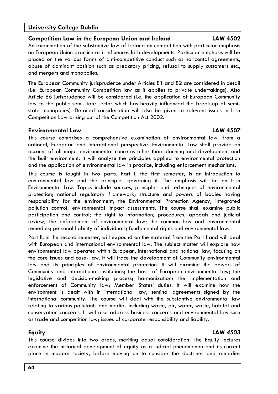### **Competition Law in the European Union and Ireland LAW 4502**

An examination of the substantive law of Ireland on competition with particular emphasis on European Union practice as it influences Irish developments. Particular emphasis will be placed on the various forms of anti-competitive conduct such as horizontal agreements, abuse of dominant position such as predatory pricing, refusal to supply customers etc., and mergers and monopolies.

The European Community jurisprudence under Articles 81 and 82 are considered in detail (i.e. European Community Competition law as it applies to private undertakings). Also Article 86 jurisprudence will be considered (i.e. the application of European Community law to the public semi-state sector which has heavily influenced the break-up of semistate monopolies). Detailed consideration will also be given to relevant issues in Irish Competition Law arising out of the Competition Act 2002.

### **Environmental Law LAW 4507**

This course comprises a comprehensive examination of environmental law, from a national, European and International perspective. Environmental Law shall provide an account of all major environmental concerns other than planning and development and the built environment. It will analyse the principles applied to environmental protection and the application of environmental law in practice, including enforcement mechanisms.

This course is taught in two parts. Part I, the first semester, is an introduction to environmental law and the principles governing it. The emphasis will be on Irish Environmental Law. Topics include sources, principles and techniques of environmental protection; national regulatory framework; structure and powers of bodies having responsibility for the environment; the Environmental Protection Agency; integrated pollution control; environmental impact assessments. The course shall examine public participation and control; the right to information; procedures; appeals and judicial review; the enforcement of environmental law; the common law and environmental remedies; personal liability of individuals; fundamental rights and environmental law.

Part II, in the second semester, will expound on the material from the Part I and will deal with European and international environmental law. The subject matter will explore how environmental law operates within European, international and national law, focusing on the core issues and case- law. It will trace the development of Community environmental law and its principles of environmental protection. It will examine the powers of Community and international institutions; the basis of European environmental law; the legislative and decision-making process; harmonization; the implementation and enforcement of Community law; Member States' duties. It will examine how the environment is dealt with in international law; seminal agreements signed by the international community. The course will deal with the substantive environmental law relating to various pollutants and media- including waste, air, water, waste, habitat and conservation concerns. It will also address business concerns and environmental law such as trade and competition law; issues of corporate responsibility and liability.

### **Equity LAW** *4503*

This course divides into two areas, meriting equal consideration. The Equity lectures examine the historical development of equity as a judicial phenomenon and its current place in modern society, before moving on to consider the doctrines and remedies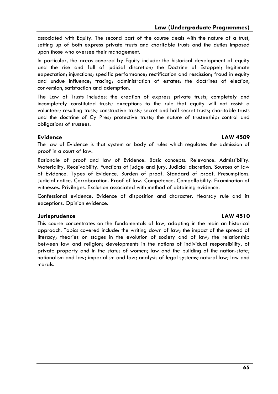**Law (Undergraduate Programmes)** 

associated with Equity. The second part of the course deals with the nature of a trust, setting up of both express private trusts and charitable trusts and the duties imposed upon those who oversee their management.

In particular, the areas covered by Equity include: the historical development of equity and the rise and fall of judicial discretion; the Doctrine of Estoppel; legitimate expectation; injunctions; specific performance; rectification and rescission; fraud in equity and undue influence; tracing; administration of estates: the doctrines of election, conversion, satisfaction and ademption.

The Law of Trusts includes: the creation of express private trusts; completely and incompletely constituted trusts; exceptions to the rule that equity will not assist a volunteer; resulting trusts; constructive trusts; secret and half secret trusts; charitable trusts and the doctrine of Cy Pres; protective trusts; the nature of trusteeship: control and obligations of trustees.

### **Evidence LAW 4509**

The law of Evidence is that system or body of rules which regulates the admission of proof in a court of law.

Rationale of proof and law of Evidence. Basic concepts. Relevance. Admissibility. Materiality. Receivability. Functions of judge and jury. Judicial discretion. Sources of law of Evidence. Types of Evidence. Burden of proof. Standard of proof. Presumptions. Judicial notice. Corroboration. Proof of law. Competence. Compellability. Examination of witnesses. Privileges. Exclusion associated with method of obtaining evidence.

Confessional evidence. Evidence of disposition and character. Hearsay rule and its exceptions. Opinion evidence.

### **Jurisprudence LAW 4510**

This course concentrates on the fundamentals of law, adopting in the main an historical approach. Topics covered include: the writing down of law; the impact of the spread of literacy; theories on stages in the evolution of society and of law; the relationship between law and religion; developments in the notions of individual responsibility, of private property and in the status of women; law and the building of the nation-state; nationalism and law; imperialism and law; analysis of legal systems; natural law; law and morals.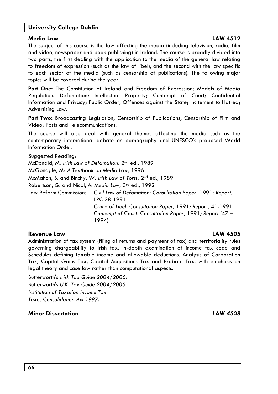### **Media Law LAW 4512**

The subject of this course is the law affecting the media (including television, radio, film and video, newspaper and book publishing) in Ireland. The course is broadly divided into two parts, the first dealing with the application to the media of the general law relating to freedom of expression (such as the law of libel), and the second with the law specific to each sector of the media (such as censorship of publications). The following major topics will be covered during the year:

**Part One:** The Constitution of Ireland and Freedom of Expression; Models of Media Regulation. Defamation; Intellectual Property; Contempt of Court; Confidential Information and Privacy; Public Order; Offences against the State; Incitement to Hatred; Advertising Law.

**Part Two:** Broadcasting Legislation; Censorship of Publications; Censorship of Film and Video; Posts and Telecommunications.

The course will also deal with general themes affecting the media such as the contemporary international debate on pornography and UNESCO's proposed World Information Order.

Suggested Reading: McDonald, M*: Irish Law of Defamation,* 2nd ed., 1989 McGonagle, M*: A Textbook on Media Law,* 1996 McMahon, B. and Binchy, W*: Irish Law of Torts,* 2nd ed., 1989 Robertson, G. and Nicol, A: *Media Law,* 3rd ed., 1992 Law Reform Commission*: Civil Law of Defamation: Consultation Paper,* 1991*; Report,*  LRC 38-1991 *Crime of Libel: Consultation Paper,* 1991*; Report,* 41-1991 *Contempt of Court: Consultation Paper,* 1991*; Report* (47 – 1994)

### **Revenue Law LAW 4505**

Administration of tax system (filing of returns and payment of tax) and territoriality rules governing chargeability to Irish tax. In-depth examination of income tax code and Schedules defining taxable income and allowable deductions. Analysis of Corporation Tax, Capital Gains Tax, Capital Acquisitions Tax and Probate Tax, with emphasis on legal theory and case law rather than computational aspects.

Butterworth's *Irish Tax Guide 2004/2005;*  Butterworth's *U.K. Tax Guide 2004/2005 Institution of Taxation Income Tax Taxes Consolidation Act 1997.* 

### **Minor Dissertation** *LAW 4508*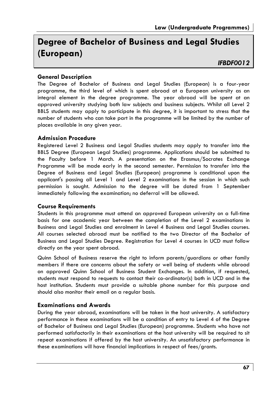## **Degree of Bachelor of Business and Legal Studies (European)**

### *IFBDF0012*

### **General Description**

The Degree of Bachelor of Business and Legal Studies (European) is a four-year programme, the third level of which is spent abroad at a European university as an integral element in the degree programme. The year abroad will be spent at an approved university studying both law subjects and business subjects. Whilst all Level 2 BBLS students may apply to participate in this degree, it is important to stress that the number of students who can take part in the programme will be limited by the number of places available in any given year.

### **Admission Procedure**

Registered Level 2 Business and Legal Studies students may apply to transfer into the BBLS Degree (European Legal Studies) programme. Applications should be submitted to the Faculty before 1 March. A presentation on the Erasmus/Socrates Exchange Programme will be made early in the second semester. Permission to transfer into the Degree of Business and Legal Studies (European) programme is conditional upon the applicant's passing all Level 1 and Level 2 examinations in the session in which such permission is sought. Admission to the degree will be dated from 1 September immediately following the examination; no deferral will be allowed.

### **Course Requirements**

Students in this programme must attend an approved European university on a full-time basis for one academic year between the completion of the Level 2 examinations in Business and Legal Studies and enrolment in Level 4 Business and Legal Studies courses. All courses selected abroad must be notified to the two Director of the Bachelor of Business and Legal Studies Degree. Registration for Level 4 courses in UCD must follow directly on the year spent abroad.

Quinn School of Business reserve the right to inform parents/guardians or other family members if there are concerns about the safety or well being of students while abroad on approved Quinn School of Business Student Exchanges. In addition, if requested, students must respond to requests to contact their co-ordinator(s) both in UCD and in the host institution. Students must provide a suitable phone number for this purpose and should also monitor their email on a regular basis.

### **Examinations and Awards**

During the year abroad, examinations will be taken in the host university. A satisfactory performance in these examinations will be a condition of entry to Level 4 of the Degree of Bachelor of Business and Legal Studies (European) programme. Students who have not performed satisfactorily in their examinations at the host university will be required to sit repeat examinations if offered by the host university. An unsatisfactory performance in these examinations will have financial implications in respect of fees/grants.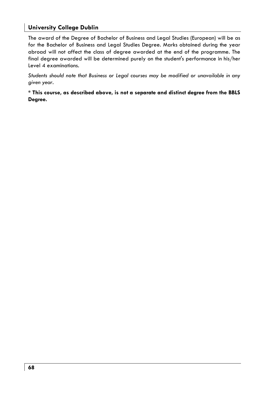The award of the Degree of Bachelor of Business and Legal Studies (European) will be as for the Bachelor of Business and Legal Studies Degree. Marks obtained during the year abroad will not affect the class of degree awarded at the end of the programme. The final degree awarded will be determined purely on the student's performance in his/her Level 4 examinations.

*Students should note that Business or Legal courses may be modified or unavailable in any given year.* 

**\* This course, as described above, is not a separate and distinct degree from the BBLS Degree.**